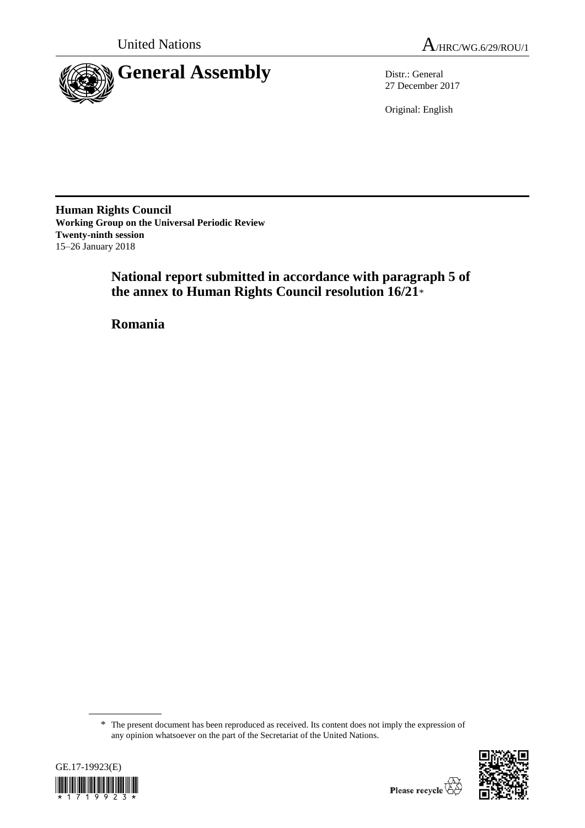



27 December 2017

Original: English

**Human Rights Council Working Group on the Universal Periodic Review Twenty-ninth session** 15–26 January 2018

> **National report submitted in accordance with paragraph 5 of the annex to Human Rights Council resolution 16/21**\*

**Romania**

<sup>\*</sup> The present document has been reproduced as received. Its content does not imply the expression of any opinion whatsoever on the part of the Secretariat of the United Nations.



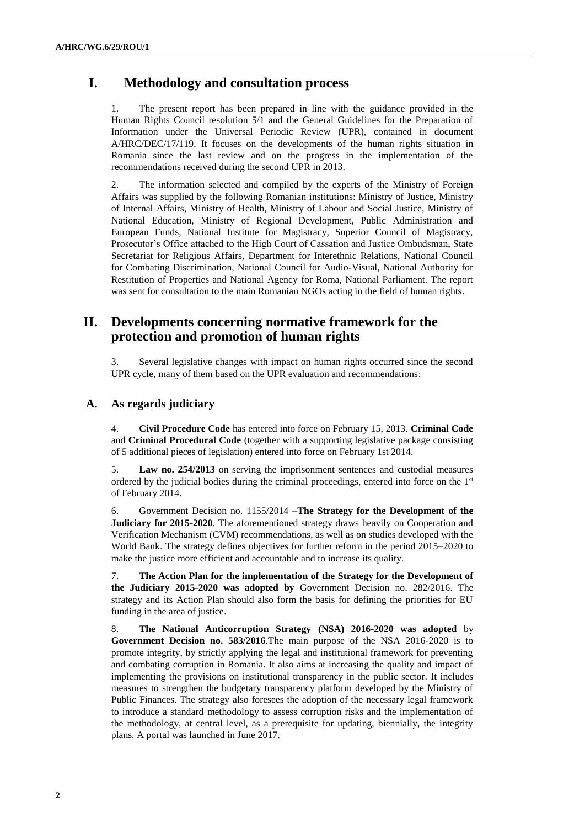# **I. Methodology and consultation process**

1. The present report has been prepared in line with the guidance provided in the Human Rights Council resolution 5/1 and the General Guidelines for the Preparation of Information under the Universal Periodic Review (UPR), contained in document A/HRC/DEC/17/119. It focuses on the developments of the human rights situation in Romania since the last review and on the progress in the implementation of the recommendations received during the second UPR in 2013.

2. The information selected and compiled by the experts of the Ministry of Foreign Affairs was supplied by the following Romanian institutions: Ministry of Justice, Ministry of Internal Affairs, Ministry of Health, Ministry of Labour and Social Justice, Ministry of National Education, Ministry of Regional Development, Public Administration and European Funds, National Institute for Magistracy, Superior Council of Magistracy, Prosecutor's Office attached to the High Court of Cassation and Justice Ombudsman, State Secretariat for Religious Affairs, Department for Interethnic Relations, National Council for Combating Discrimination, National Council for Audio-Visual, National Authority for Restitution of Properties and National Agency for Roma, National Parliament. The report was sent for consultation to the main Romanian NGOs acting in the field of human rights.

# **II. Developments concerning normative framework for the protection and promotion of human rights**

3. Several legislative changes with impact on human rights occurred since the second UPR cycle, many of them based on the UPR evaluation and recommendations:

## **A. As regards judiciary**

4. **Civil Procedure Code** has entered into force on February 15, 2013. **Criminal Code** and **Criminal Procedural Code** (together with a supporting legislative package consisting of 5 additional pieces of legislation) entered into force on February 1st 2014.

5. **Law no. 254/2013** on serving the imprisonment sentences and custodial measures ordered by the judicial bodies during the criminal proceedings, entered into force on the  $1<sup>st</sup>$ of February 2014.

6. Government Decision no. 1155/2014 –**The Strategy for the Development of the Judiciary for 2015-2020**. The aforementioned strategy draws heavily on Cooperation and Verification Mechanism (CVM) recommendations, as well as on studies developed with the World Bank. The strategy defines objectives for further reform in the period 2015–2020 to make the justice more efficient and accountable and to increase its quality.

7. **The Action Plan for the implementation of the Strategy for the Development of the Judiciary 2015-2020 was adopted by** Government Decision no. 282/2016. The strategy and its Action Plan should also form the basis for defining the priorities for EU funding in the area of justice.

8. **The National Anticorruption Strategy (NSA) 2016-2020 was adopted** by **Government Decision no. 583/2016**.The main purpose of the NSA 2016-2020 is to promote integrity, by strictly applying the legal and institutional framework for preventing and combating corruption in Romania. It also aims at increasing the quality and impact of implementing the provisions on institutional transparency in the public sector. It includes measures to strengthen the budgetary transparency platform developed by the Ministry of Public Finances. The strategy also foresees the adoption of the necessary legal framework to introduce a standard methodology to assess corruption risks and the implementation of the methodology, at central level, as a prerequisite for updating, biennially, the integrity plans. A portal was launched in June 2017.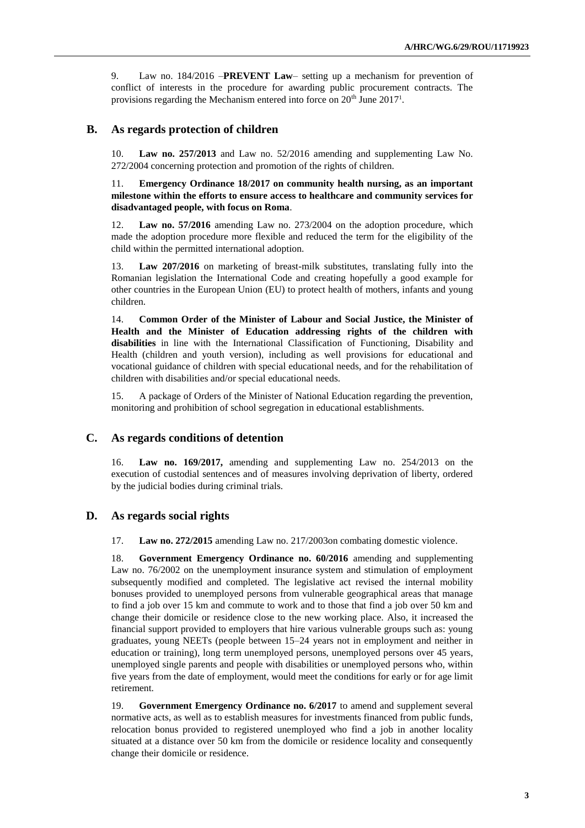9. Law no. 184/2016 –**PREVENT Law**– setting up a mechanism for prevention of conflict of interests in the procedure for awarding public procurement contracts. The provisions regarding the Mechanism entered into force on  $20<sup>th</sup>$  June  $2017<sup>1</sup>$ .

### **B. As regards protection of children**

10. **Law no. 257/2013** and Law no. 52/2016 amending and supplementing Law No. 272/2004 concerning protection and promotion of the rights of children.

11. **Emergency Ordinance 18/2017 on community health nursing, as an important milestone within the efforts to ensure access to healthcare and community services for disadvantaged people, with focus on Roma**.

12. **Law no. 57/2016** amending Law no. 273/2004 on the adoption procedure, which made the adoption procedure more flexible and reduced the term for the eligibility of the child within the permitted international adoption.

13. **Law 207/2016** on marketing of breast-milk substitutes, translating fully into the Romanian legislation the International Code and creating hopefully a good example for other countries in the European Union (EU) to protect health of mothers, infants and young children.

14. **Common Order of the Minister of Labour and Social Justice, the Minister of Health and the Minister of Education addressing rights of the children with disabilities** in line with the International Classification of Functioning, Disability and Health (children and youth version), including as well provisions for educational and vocational guidance of children with special educational needs, and for the rehabilitation of children with disabilities and/or special educational needs.

15. A package of Orders of the Minister of National Education regarding the prevention, monitoring and prohibition of school segregation in educational establishments.

## **C. As regards conditions of detention**

16. **Law no. 169/2017,** amending and supplementing Law no. 254/2013 on the execution of custodial sentences and of measures involving deprivation of liberty, ordered by the judicial bodies during criminal trials.

#### **D. As regards social rights**

17. **Law no. 272/2015** amending Law no. 217/2003on combating domestic violence.

18. **Government Emergency Ordinance no. 60/2016** amending and supplementing Law no. 76/2002 on the unemployment insurance system and stimulation of employment subsequently modified and completed. The legislative act revised the internal mobility bonuses provided to unemployed persons from vulnerable geographical areas that manage to find a job over 15 km and commute to work and to those that find a job over 50 km and change their domicile or residence close to the new working place. Also, it increased the financial support provided to employers that hire various vulnerable groups such as: young graduates, young NEETs (people between 15–24 years not in employment and neither in education or training), long term unemployed persons, unemployed persons over 45 years, unemployed single parents and people with disabilities or unemployed persons who, within five years from the date of employment, would meet the conditions for early or for age limit retirement.

19. **Government Emergency Ordinance no. 6/2017** to amend and supplement several normative acts, as well as to establish measures for investments financed from public funds, relocation bonus provided to registered unemployed who find a job in another locality situated at a distance over 50 km from the domicile or residence locality and consequently change their domicile or residence.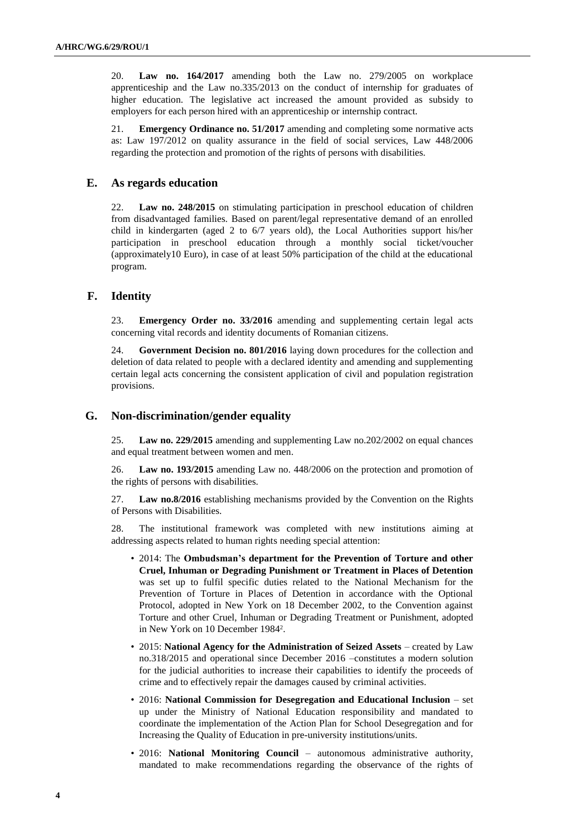20. **Law no. 164/2017** amending both the Law no. 279/2005 on workplace apprenticeship and the Law no.335/2013 on the conduct of internship for graduates of higher education. The legislative act increased the amount provided as subsidy to employers for each person hired with an apprenticeship or internship contract.

21. **Emergency Ordinance no. 51/2017** amending and completing some normative acts as: Law 197/2012 on quality assurance in the field of social services, Law 448/2006 regarding the protection and promotion of the rights of persons with disabilities.

## **E. As regards education**

22. **Law no. 248/2015** on stimulating participation in preschool education of children from disadvantaged families. Based on parent/legal representative demand of an enrolled child in kindergarten (aged 2 to 6/7 years old), the Local Authorities support his/her participation in preschool education through a monthly social ticket/voucher (approximately10 Euro), in case of at least 50% participation of the child at the educational program.

## **F. Identity**

23. **Emergency Order no. 33/2016** amending and supplementing certain legal acts concerning vital records and identity documents of Romanian citizens.

24. **Government Decision no. 801/2016** laying down procedures for the collection and deletion of data related to people with a declared identity and amending and supplementing certain legal acts concerning the consistent application of civil and population registration provisions.

## **G. Non-discrimination/gender equality**

25. **Law no. 229/2015** amending and supplementing Law no.202/2002 on equal chances and equal treatment between women and men.

26. **Law no. 193/2015** amending Law no. 448/2006 on the protection and promotion of the rights of persons with disabilities.

27. **Law no.8/2016** establishing mechanisms provided by the Convention on the Rights of Persons with Disabilities.

28. The institutional framework was completed with new institutions aiming at addressing aspects related to human rights needing special attention:

- 2014: The **Ombudsman's department for the Prevention of Torture and other Cruel, Inhuman or Degrading Punishment or Treatment in Places of Detention** was set up to fulfil specific duties related to the National Mechanism for the Prevention of Torture in Places of Detention in accordance with the Optional Protocol, adopted in New York on 18 December 2002, to the Convention against Torture and other Cruel, Inhuman or Degrading Treatment or Punishment, adopted in New York on 10 December 1984<sup>2</sup> .
- 2015: **National Agency for the Administration of Seized Assets** created by Law no.318/2015 and operational since December 2016 –constitutes a modern solution for the judicial authorities to increase their capabilities to identify the proceeds of crime and to effectively repair the damages caused by criminal activities.
- 2016: **National Commission for Desegregation and Educational Inclusion** set up under the Ministry of National Education responsibility and mandated to coordinate the implementation of the Action Plan for School Desegregation and for Increasing the Quality of Education in pre-university institutions/units.
- 2016: **National Monitoring Council** autonomous administrative authority, mandated to make recommendations regarding the observance of the rights of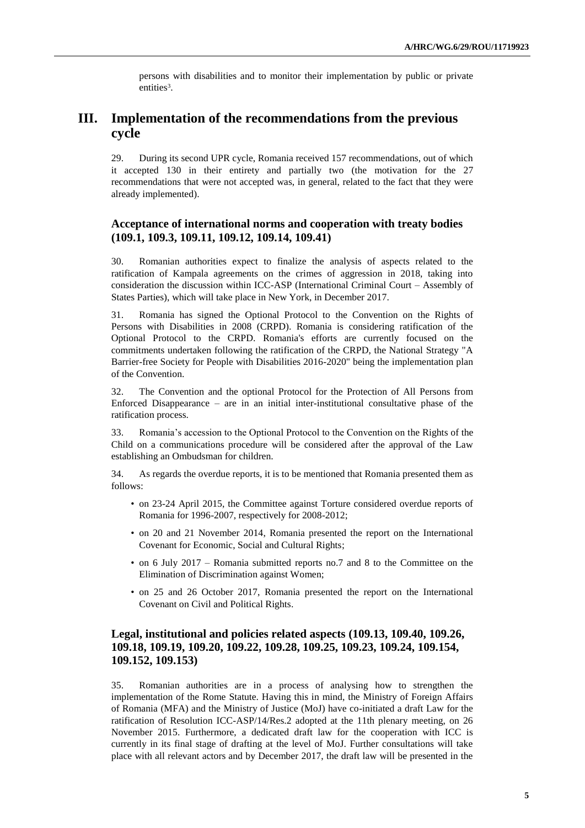persons with disabilities and to monitor their implementation by public or private entities<sup>3</sup>.

# **III. Implementation of the recommendations from the previous cycle**

29. During its second UPR cycle, Romania received 157 recommendations, out of which it accepted 130 in their entirety and partially two (the motivation for the 27 recommendations that were not accepted was, in general, related to the fact that they were already implemented).

## **Acceptance of international norms and cooperation with treaty bodies (109.1, 109.3, 109.11, 109.12, 109.14, 109.41)**

30. Romanian authorities expect to finalize the analysis of aspects related to the ratification of Kampala agreements on the crimes of aggression in 2018, taking into consideration the discussion within ICC-ASP (International Criminal Court – Assembly of States Parties), which will take place in New York, in December 2017.

31. Romania has signed the Optional Protocol to the Convention on the Rights of Persons with Disabilities in 2008 (CRPD). Romania is considering ratification of the Optional Protocol to the CRPD. Romania's efforts are currently focused on the commitments undertaken following the ratification of the CRPD, the National Strategy "A Barrier-free Society for People with Disabilities 2016-2020" being the implementation plan of the Convention.

32. The Convention and the optional Protocol for the Protection of All Persons from Enforced Disappearance – are in an initial inter-institutional consultative phase of the ratification process.

33. Romania's accession to the Optional Protocol to the Convention on the Rights of the Child on a communications procedure will be considered after the approval of the Law establishing an Ombudsman for children.

34. As regards the overdue reports, it is to be mentioned that Romania presented them as follows:

- on 23-24 April 2015, the Committee against Torture considered overdue reports of Romania for 1996-2007, respectively for 2008-2012;
- on 20 and 21 November 2014, Romania presented the report on the International Covenant for Economic, Social and Cultural Rights;
- on 6 July 2017 Romania submitted reports no.7 and 8 to the Committee on the Elimination of Discrimination against Women;
- on 25 and 26 October 2017, Romania presented the report on the International Covenant on Civil and Political Rights.

## **Legal, institutional and policies related aspects (109.13, 109.40, 109.26, 109.18, 109.19, 109.20, 109.22, 109.28, 109.25, 109.23, 109.24, 109.154, 109.152, 109.153)**

35. Romanian authorities are in a process of analysing how to strengthen the implementation of the Rome Statute. Having this in mind, the Ministry of Foreign Affairs of Romania (MFA) and the Ministry of Justice (MoJ) have co-initiated a draft Law for the ratification of Resolution ICC-ASP/14/Res.2 adopted at the 11th plenary meeting, on 26 November 2015. Furthermore, a dedicated draft law for the cooperation with ICC is currently in its final stage of drafting at the level of MoJ. Further consultations will take place with all relevant actors and by December 2017, the draft law will be presented in the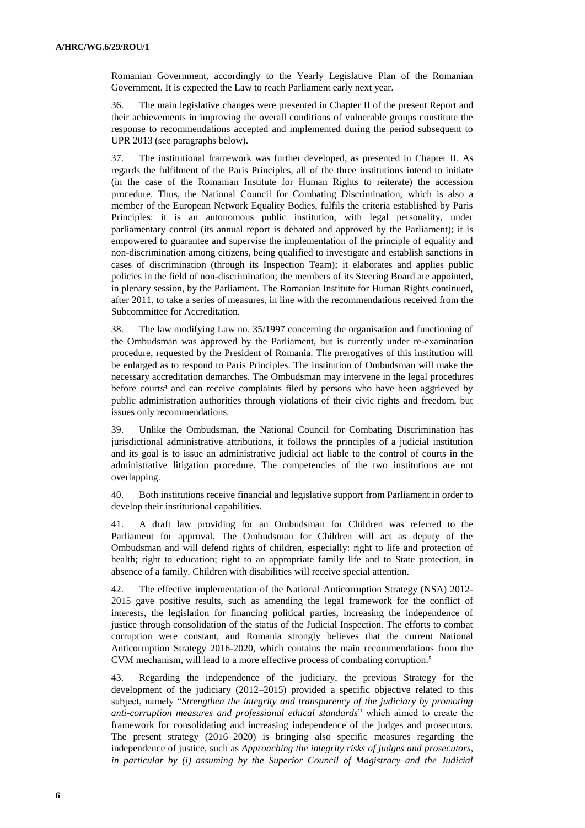Romanian Government, accordingly to the Yearly Legislative Plan of the Romanian Government. It is expected the Law to reach Parliament early next year.

36. The main legislative changes were presented in Chapter II of the present Report and their achievements in improving the overall conditions of vulnerable groups constitute the response to recommendations accepted and implemented during the period subsequent to UPR 2013 (see paragraphs below).

37. The institutional framework was further developed, as presented in Chapter II. As regards the fulfilment of the Paris Principles, all of the three institutions intend to initiate (in the case of the Romanian Institute for Human Rights to reiterate) the accession procedure. Thus, the National Council for Combating Discrimination, which is also a member of the European Network Equality Bodies, fulfils the criteria established by Paris Principles: it is an autonomous public institution, with legal personality, under parliamentary control (its annual report is debated and approved by the Parliament); it is empowered to guarantee and supervise the implementation of the principle of equality and non-discrimination among citizens, being qualified to investigate and establish sanctions in cases of discrimination (through its Inspection Team); it elaborates and applies public policies in the field of non-discrimination; the members of its Steering Board are appointed, in plenary session, by the Parliament. The Romanian Institute for Human Rights continued, after 2011, to take a series of measures, in line with the recommendations received from the Subcommittee for Accreditation.

38. The law modifying Law no. 35/1997 concerning the organisation and functioning of the Ombudsman was approved by the Parliament, but is currently under re-examination procedure, requested by the President of Romania. The prerogatives of this institution will be enlarged as to respond to Paris Principles. The institution of Ombudsman will make the necessary accreditation demarches. The Ombudsman may intervene in the legal procedures before courts<sup>4</sup> and can receive complaints filed by persons who have been aggrieved by public administration authorities through violations of their civic rights and freedom, but issues only recommendations.

39. Unlike the Ombudsman, the National Council for Combating Discrimination has jurisdictional administrative attributions, it follows the principles of a judicial institution and its goal is to issue an administrative judicial act liable to the control of courts in the administrative litigation procedure. The competencies of the two institutions are not overlapping.

40. Both institutions receive financial and legislative support from Parliament in order to develop their institutional capabilities.

41. A draft law providing for an Ombudsman for Children was referred to the Parliament for approval. The Ombudsman for Children will act as deputy of the Ombudsman and will defend rights of children, especially: right to life and protection of health; right to education; right to an appropriate family life and to State protection, in absence of a family. Children with disabilities will receive special attention.

42. The effective implementation of the National Anticorruption Strategy (NSA) 2012- 2015 gave positive results, such as amending the legal framework for the conflict of interests, the legislation for financing political parties, increasing the independence of justice through consolidation of the status of the Judicial Inspection. The efforts to combat corruption were constant, and Romania strongly believes that the current National Anticorruption Strategy 2016-2020, which contains the main recommendations from the CVM mechanism, will lead to a more effective process of combating corruption. 5

43. Regarding the independence of the judiciary, the previous Strategy for the development of the judiciary (2012–2015) provided a specific objective related to this subject, namely "*Strengthen the integrity and transparency of the judiciary by promoting anti-corruption measures and professional ethical standards*" which aimed to create the framework for consolidating and increasing independence of the judges and prosecutors. The present strategy (2016–2020) is bringing also specific measures regarding the independence of justice, such as *Approaching the integrity risks of judges and prosecutors, in particular by (i) assuming by the Superior Council of Magistracy and the Judicial*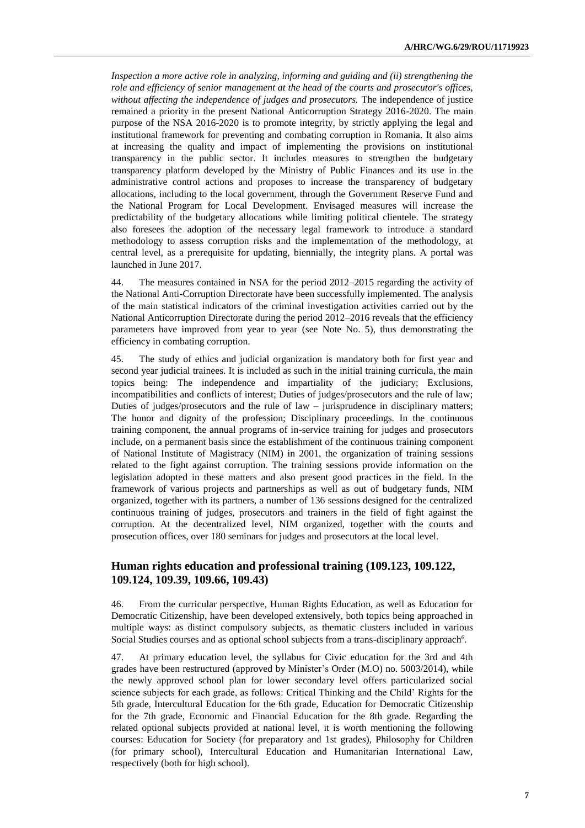*Inspection a more active role in analyzing, informing and guiding and (ii) strengthening the role and efficiency of senior management at the head of the courts and prosecutor's offices, without affecting the independence of judges and prosecutors.* The independence of justice remained a priority in the present National Anticorruption Strategy 2016-2020. The main purpose of the NSA 2016-2020 is to promote integrity, by strictly applying the legal and institutional framework for preventing and combating corruption in Romania. It also aims at increasing the quality and impact of implementing the provisions on institutional transparency in the public sector. It includes measures to strengthen the budgetary transparency platform developed by the Ministry of Public Finances and its use in the administrative control actions and proposes to increase the transparency of budgetary allocations, including to the local government, through the Government Reserve Fund and the National Program for Local Development. Envisaged measures will increase the predictability of the budgetary allocations while limiting political clientele. The strategy also foresees the adoption of the necessary legal framework to introduce a standard methodology to assess corruption risks and the implementation of the methodology, at central level, as a prerequisite for updating, biennially, the integrity plans. A portal was launched in June 2017.

44. The measures contained in NSA for the period 2012–2015 regarding the activity of the National Anti-Corruption Directorate have been successfully implemented. The analysis of the main statistical indicators of the criminal investigation activities carried out by the National Anticorruption Directorate during the period 2012–2016 reveals that the efficiency parameters have improved from year to year (see Note No. 5), thus demonstrating the efficiency in combating corruption.

45. The study of ethics and judicial organization is mandatory both for first year and second year judicial trainees. It is included as such in the initial training curricula, the main topics being: The independence and impartiality of the judiciary; Exclusions, incompatibilities and conflicts of interest; Duties of judges/prosecutors and the rule of law; Duties of judges/prosecutors and the rule of law – jurisprudence in disciplinary matters; The honor and dignity of the profession; Disciplinary proceedings. In the continuous training component, the annual programs of in-service training for judges and prosecutors include, on a permanent basis since the establishment of the continuous training component of National Institute of Magistracy (NIM) in 2001, the organization of training sessions related to the fight against corruption. The training sessions provide information on the legislation adopted in these matters and also present good practices in the field. In the framework of various projects and partnerships as well as out of budgetary funds, NIM organized, together with its partners, a number of 136 sessions designed for the centralized continuous training of judges, prosecutors and trainers in the field of fight against the corruption. At the decentralized level, NIM organized, together with the courts and prosecution offices, over 180 seminars for judges and prosecutors at the local level.

## **Human rights education and professional training (109.123, 109.122, 109.124, 109.39, 109.66, 109.43)**

46. From the curricular perspective, Human Rights Education, as well as Education for Democratic Citizenship, have been developed extensively, both topics being approached in multiple ways: as distinct compulsory subjects, as thematic clusters included in various Social Studies courses and as optional school subjects from a trans-disciplinary approach<sup>6</sup>.

47. At primary education level, the syllabus for Civic education for the 3rd and 4th grades have been restructured (approved by Minister's Order (M.O) no. 5003/2014), while the newly approved school plan for lower secondary level offers particularized social science subjects for each grade, as follows: Critical Thinking and the Child' Rights for the 5th grade, Intercultural Education for the 6th grade, Education for Democratic Citizenship for the 7th grade, Economic and Financial Education for the 8th grade. Regarding the related optional subjects provided at national level, it is worth mentioning the following courses: Education for Society (for preparatory and 1st grades), Philosophy for Children (for primary school), Intercultural Education and Humanitarian International Law, respectively (both for high school).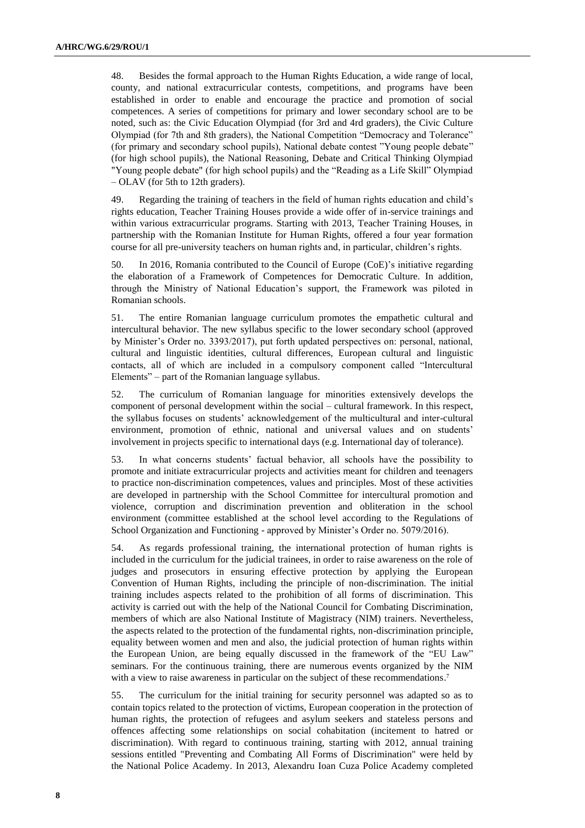48. Besides the formal approach to the Human Rights Education, a wide range of local, county, and national extracurricular contests, competitions, and programs have been established in order to enable and encourage the practice and promotion of social competences. A series of competitions for primary and lower secondary school are to be noted, such as: the Civic Education Olympiad (for 3rd and 4rd graders), the Civic Culture Olympiad (for 7th and 8th graders), the National Competition "Democracy and Tolerance" (for primary and secondary school pupils), National debate contest "Young people debate" (for high school pupils), the National Reasoning, Debate and Critical Thinking Olympiad "Young people debate" (for high school pupils) and the "Reading as a Life Skill" Olympiad – OLAV (for 5th to 12th graders).

49. Regarding the training of teachers in the field of human rights education and child's rights education, Teacher Training Houses provide a wide offer of in-service trainings and within various extracurricular programs. Starting with 2013, Teacher Training Houses, in partnership with the Romanian Institute for Human Rights, offered a four year formation course for all pre-university teachers on human rights and, in particular, children's rights.

50. In 2016, Romania contributed to the Council of Europe (CoE)'s initiative regarding the elaboration of a Framework of Competences for Democratic Culture. In addition, through the Ministry of National Education's support, the Framework was piloted in Romanian schools.

51. The entire Romanian language curriculum promotes the empathetic cultural and intercultural behavior. The new syllabus specific to the lower secondary school (approved by Minister's Order no. 3393/2017), put forth updated perspectives on: personal, national, cultural and linguistic identities, cultural differences, European cultural and linguistic contacts, all of which are included in a compulsory component called "Intercultural Elements" – part of the Romanian language syllabus.

52. The curriculum of Romanian language for minorities extensively develops the component of personal development within the social – cultural framework. In this respect, the syllabus focuses on students' acknowledgement of the multicultural and inter-cultural environment, promotion of ethnic, national and universal values and on students' involvement in projects specific to international days (e.g. International day of tolerance).

53. In what concerns students' factual behavior, all schools have the possibility to promote and initiate extracurricular projects and activities meant for children and teenagers to practice non-discrimination competences, values and principles. Most of these activities are developed in partnership with the School Committee for intercultural promotion and violence, corruption and discrimination prevention and obliteration in the school environment (committee established at the school level according to the Regulations of School Organization and Functioning - approved by Minister's Order no. 5079/2016).

54. As regards professional training, the international protection of human rights is included in the curriculum for the judicial trainees, in order to raise awareness on the role of judges and prosecutors in ensuring effective protection by applying the European Convention of Human Rights, including the principle of non-discrimination. The initial training includes aspects related to the prohibition of all forms of discrimination. This activity is carried out with the help of the National Council for Combating Discrimination, members of which are also National Institute of Magistracy (NIM) trainers. Nevertheless, the aspects related to the protection of the fundamental rights, non-discrimination principle, equality between women and men and also, the judicial protection of human rights within the European Union, are being equally discussed in the framework of the "EU Law" seminars. For the continuous training, there are numerous events organized by the NIM with a view to raise awareness in particular on the subject of these recommendations.<sup>7</sup>

55. The curriculum for the initial training for security personnel was adapted so as to contain topics related to the protection of victims, European cooperation in the protection of human rights, the protection of refugees and asylum seekers and stateless persons and offences affecting some relationships on social cohabitation (incitement to hatred or discrimination). With regard to continuous training, starting with 2012, annual training sessions entitled "Preventing and Combating All Forms of Discrimination" were held by the National Police Academy. In 2013, Alexandru Ioan Cuza Police Academy completed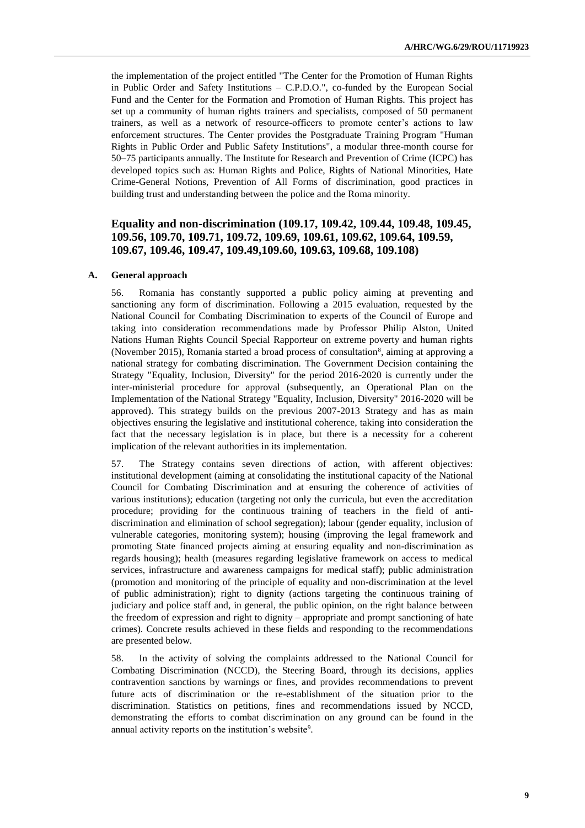the implementation of the project entitled "The Center for the Promotion of Human Rights in Public Order and Safety Institutions – C.P.D.O.", co-funded by the European Social Fund and the Center for the Formation and Promotion of Human Rights. This project has set up a community of human rights trainers and specialists, composed of 50 permanent trainers, as well as a network of resource-officers to promote center's actions to law enforcement structures. The Center provides the Postgraduate Training Program "Human Rights in Public Order and Public Safety Institutions", a modular three-month course for 50–75 participants annually. The Institute for Research and Prevention of Crime (ICPC) has developed topics such as: Human Rights and Police, Rights of National Minorities, Hate Crime-General Notions, Prevention of All Forms of discrimination, good practices in building trust and understanding between the police and the Roma minority.

## **Equality and non-discrimination (109.17, 109.42, 109.44, 109.48, 109.45, 109.56, 109.70, 109.71, 109.72, 109.69, 109.61, 109.62, 109.64, 109.59, 109.67, 109.46, 109.47, 109.49,109.60, 109.63, 109.68, 109.108)**

#### **A. General approach**

56. Romania has constantly supported a public policy aiming at preventing and sanctioning any form of discrimination. Following a 2015 evaluation, requested by the National Council for Combating Discrimination to experts of the Council of Europe and taking into consideration recommendations made by Professor Philip Alston, United Nations Human Rights Council Special Rapporteur on extreme poverty and human rights (November 2015), Romania started a broad process of consultation<sup>8</sup>, aiming at approving a national strategy for combating discrimination. The Government Decision containing the Strategy "Equality, Inclusion, Diversity" for the period 2016-2020 is currently under the inter-ministerial procedure for approval (subsequently, an Operational Plan on the Implementation of the National Strategy "Equality, Inclusion, Diversity" 2016-2020 will be approved). This strategy builds on the previous 2007-2013 Strategy and has as main objectives ensuring the legislative and institutional coherence, taking into consideration the fact that the necessary legislation is in place, but there is a necessity for a coherent implication of the relevant authorities in its implementation.

57. The Strategy contains seven directions of action, with afferent objectives: institutional development (aiming at consolidating the institutional capacity of the National Council for Combating Discrimination and at ensuring the coherence of activities of various institutions); education (targeting not only the curricula, but even the accreditation procedure; providing for the continuous training of teachers in the field of antidiscrimination and elimination of school segregation); labour (gender equality, inclusion of vulnerable categories, monitoring system); housing (improving the legal framework and promoting State financed projects aiming at ensuring equality and non-discrimination as regards housing); health (measures regarding legislative framework on access to medical services, infrastructure and awareness campaigns for medical staff); public administration (promotion and monitoring of the principle of equality and non-discrimination at the level of public administration); right to dignity (actions targeting the continuous training of judiciary and police staff and, in general, the public opinion, on the right balance between the freedom of expression and right to dignity – appropriate and prompt sanctioning of hate crimes). Concrete results achieved in these fields and responding to the recommendations are presented below.

58. In the activity of solving the complaints addressed to the National Council for Combating Discrimination (NCCD), the Steering Board, through its decisions, applies contravention sanctions by warnings or fines, and provides recommendations to prevent future acts of discrimination or the re-establishment of the situation prior to the discrimination. Statistics on petitions, fines and recommendations issued by NCCD, demonstrating the efforts to combat discrimination on any ground can be found in the annual activity reports on the institution's website<sup>9</sup>.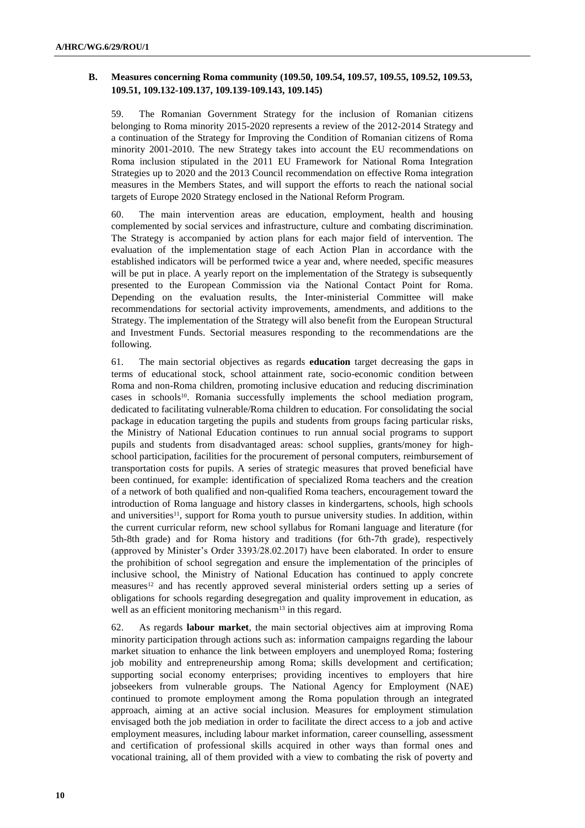## **B. Measures concerning Roma community (109.50, 109.54, 109.57, 109.55, 109.52, 109.53, 109.51, 109.132-109.137, 109.139-109.143, 109.145)**

59. The Romanian Government Strategy for the inclusion of Romanian citizens belonging to Roma minority 2015-2020 represents a review of the 2012-2014 Strategy and a continuation of the Strategy for Improving the Condition of Romanian citizens of Roma minority 2001-2010. The new Strategy takes into account the EU recommendations on Roma inclusion stipulated in the 2011 EU Framework for National Roma Integration Strategies up to 2020 and the 2013 Council recommendation on effective Roma integration measures in the Members States, and will support the efforts to reach the national social targets of Europe 2020 Strategy enclosed in the National Reform Program.

60. The main intervention areas are education, employment, health and housing complemented by social services and infrastructure, culture and combating discrimination. The Strategy is accompanied by action plans for each major field of intervention. The evaluation of the implementation stage of each Action Plan in accordance with the established indicators will be performed twice a year and, where needed, specific measures will be put in place. A yearly report on the implementation of the Strategy is subsequently presented to the European Commission via the National Contact Point for Roma. Depending on the evaluation results, the Inter-ministerial Committee will make recommendations for sectorial activity improvements, amendments, and additions to the Strategy. The implementation of the Strategy will also benefit from the European Structural and Investment Funds. Sectorial measures responding to the recommendations are the following.

61. The main sectorial objectives as regards **education** target decreasing the gaps in terms of educational stock, school attainment rate, socio-economic condition between Roma and non-Roma children, promoting inclusive education and reducing discrimination cases in schools<sup>10</sup>. Romania successfully implements the school mediation program, dedicated to facilitating vulnerable/Roma children to education. For consolidating the social package in education targeting the pupils and students from groups facing particular risks, the Ministry of National Education continues to run annual social programs to support pupils and students from disadvantaged areas: school supplies, grants/money for highschool participation, facilities for the procurement of personal computers, reimbursement of transportation costs for pupils. A series of strategic measures that proved beneficial have been continued, for example: identification of specialized Roma teachers and the creation of a network of both qualified and non-qualified Roma teachers, encouragement toward the introduction of Roma language and history classes in kindergartens, schools, high schools and universities<sup>11</sup>, support for Roma youth to pursue university studies. In addition, within the current curricular reform, new school syllabus for Romani language and literature (for 5th-8th grade) and for Roma history and traditions (for 6th-7th grade), respectively (approved by Minister's Order 3393/28.02.2017) have been elaborated. In order to ensure the prohibition of school segregation and ensure the implementation of the principles of inclusive school, the Ministry of National Education has continued to apply concrete measures<sup>12</sup> and has recently approved several ministerial orders setting up a series of obligations for schools regarding desegregation and quality improvement in education, as well as an efficient monitoring mechanism<sup>13</sup> in this regard.

62. As regards **labour market**, the main sectorial objectives aim at improving Roma minority participation through actions such as: information campaigns regarding the labour market situation to enhance the link between employers and unemployed Roma; fostering job mobility and entrepreneurship among Roma; skills development and certification; supporting social economy enterprises; providing incentives to employers that hire jobseekers from vulnerable groups. The National Agency for Employment (NAE) continued to promote employment among the Roma population through an integrated approach, aiming at an active social inclusion. Measures for employment stimulation envisaged both the job mediation in order to facilitate the direct access to a job and active employment measures, including labour market information, career counselling, assessment and certification of professional skills acquired in other ways than formal ones and vocational training, all of them provided with a view to combating the risk of poverty and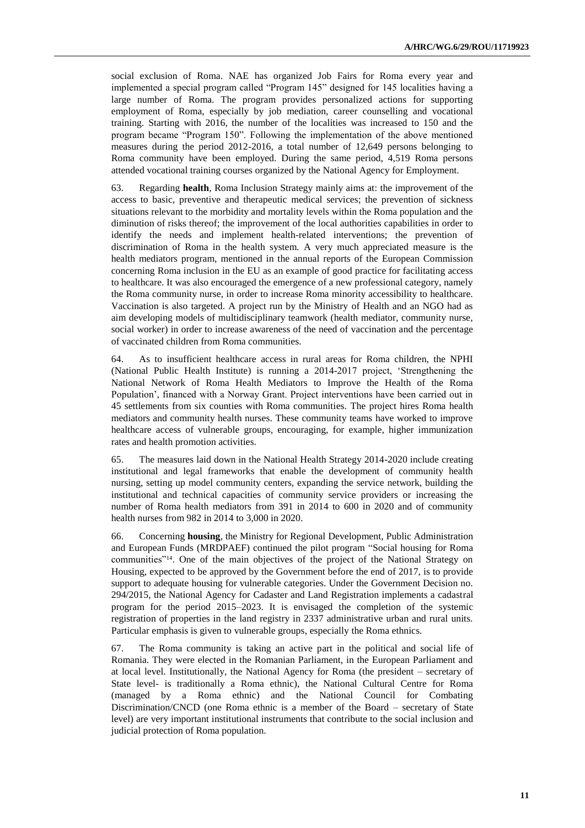social exclusion of Roma. NAE has organized Job Fairs for Roma every year and implemented a special program called "Program 145" designed for 145 localities having a large number of Roma. The program provides personalized actions for supporting employment of Roma, especially by job mediation, career counselling and vocational training. Starting with 2016, the number of the localities was increased to 150 and the program became "Program 150". Following the implementation of the above mentioned measures during the period 2012-2016, a total number of 12,649 persons belonging to Roma community have been employed. During the same period, 4,519 Roma persons attended vocational training courses organized by the National Agency for Employment.

63. Regarding **health**, Roma Inclusion Strategy mainly aims at: the improvement of the access to basic, preventive and therapeutic medical services; the prevention of sickness situations relevant to the morbidity and mortality levels within the Roma population and the diminution of risks thereof; the improvement of the local authorities capabilities in order to identify the needs and implement health-related interventions; the prevention of discrimination of Roma in the health system. A very much appreciated measure is the health mediators program, mentioned in the annual reports of the European Commission concerning Roma inclusion in the EU as an example of good practice for facilitating access to healthcare. It was also encouraged the emergence of a new professional category, namely the Roma community nurse, in order to increase Roma minority accessibility to healthcare. Vaccination is also targeted. A project run by the Ministry of Health and an NGO had as aim developing models of multidisciplinary teamwork (health mediator, community nurse, social worker) in order to increase awareness of the need of vaccination and the percentage of vaccinated children from Roma communities.

64. As to insufficient healthcare access in rural areas for Roma children, the NPHI (National Public Health Institute) is running a 2014-2017 project, 'Strengthening the National Network of Roma Health Mediators to Improve the Health of the Roma Population', financed with a Norway Grant. Project interventions have been carried out in 45 settlements from six counties with Roma communities. The project hires Roma health mediators and community health nurses. These community teams have worked to improve healthcare access of vulnerable groups, encouraging, for example, higher immunization rates and health promotion activities.

65. The measures laid down in the National Health Strategy 2014-2020 include creating institutional and legal frameworks that enable the development of community health nursing, setting up model community centers, expanding the service network, building the institutional and technical capacities of community service providers or increasing the number of Roma health mediators from 391 in 2014 to 600 in 2020 and of community health nurses from 982 in 2014 to 3,000 in 2020.

66. Concerning **housing**, the Ministry for Regional Development, Public Administration and European Funds (MRDPAEF) continued the pilot program "Social housing for Roma communities"14. One of the main objectives of the project of the National Strategy on Housing, expected to be approved by the Government before the end of 2017, is to provide support to adequate housing for vulnerable categories. Under the Government Decision no. 294/2015, the National Agency for Cadaster and Land Registration implements a cadastral program for the period 2015–2023. It is envisaged the completion of the systemic registration of properties in the land registry in 2337 administrative urban and rural units. Particular emphasis is given to vulnerable groups, especially the Roma ethnics.

67. The Roma community is taking an active part in the political and social life of Romania. They were elected in the Romanian Parliament, in the European Parliament and at local level. Institutionally, the National Agency for Roma (the president – secretary of State level- is traditionally a Roma ethnic), the National Cultural Centre for Roma (managed by a Roma ethnic) and the National Council for Combating Discrimination/CNCD (one Roma ethnic is a member of the Board – secretary of State level) are very important institutional instruments that contribute to the social inclusion and judicial protection of Roma population.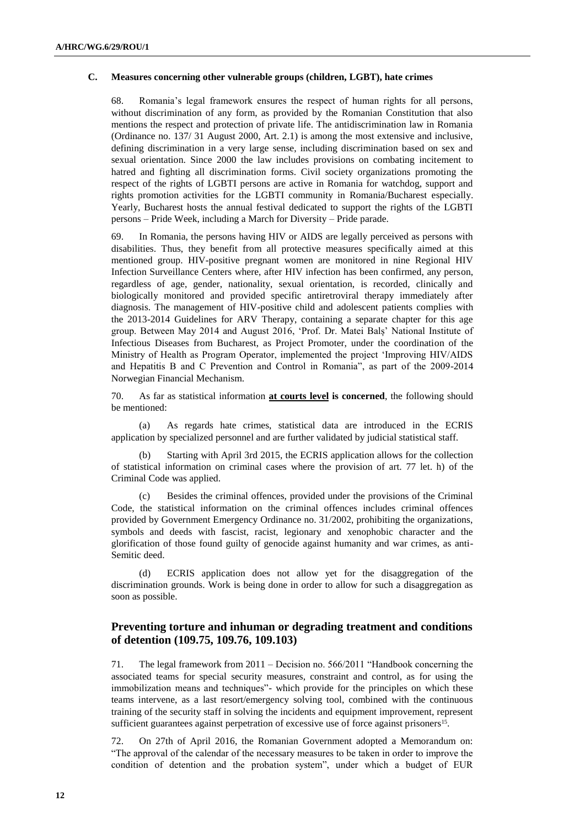#### **C. Measures concerning other vulnerable groups (children, LGBT), hate crimes**

68. Romania's legal framework ensures the respect of human rights for all persons, without discrimination of any form, as provided by the Romanian Constitution that also mentions the respect and protection of private life. The antidiscrimination law in Romania (Ordinance no. 137/ 31 August 2000, Art. 2.1) is among the most extensive and inclusive, defining discrimination in a very large sense, including discrimination based on sex and sexual orientation. Since 2000 the law includes provisions on combating incitement to hatred and fighting all discrimination forms. Civil society organizations promoting the respect of the rights of LGBTI persons are active in Romania for watchdog, support and rights promotion activities for the LGBTI community in Romania/Bucharest especially. Yearly, Bucharest hosts the annual festival dedicated to support the rights of the LGBTI persons – Pride Week, including a March for Diversity – Pride parade.

69. In Romania, the persons having HIV or AIDS are legally perceived as persons with disabilities. Thus, they benefit from all protective measures specifically aimed at this mentioned group. HIV-positive pregnant women are monitored in nine Regional HIV Infection Surveillance Centers where, after HIV infection has been confirmed, any person, regardless of age, gender, nationality, sexual orientation, is recorded, clinically and biologically monitored and provided specific antiretroviral therapy immediately after diagnosis. The management of HIV-positive child and adolescent patients complies with the 2013-2014 Guidelines for ARV Therapy, containing a separate chapter for this age group. Between May 2014 and August 2016, 'Prof. Dr. Matei Balș' National Institute of Infectious Diseases from Bucharest, as Project Promoter, under the coordination of the Ministry of Health as Program Operator, implemented the project 'Improving HIV/AIDS and Hepatitis B and C Prevention and Control in Romania", as part of the 2009-2014 Norwegian Financial Mechanism.

70. As far as statistical information **at courts level is concerned**, the following should be mentioned:

(a) As regards hate crimes, statistical data are introduced in the ECRIS application by specialized personnel and are further validated by judicial statistical staff.

Starting with April 3rd 2015, the ECRIS application allows for the collection of statistical information on criminal cases where the provision of art. 77 let. h) of the Criminal Code was applied.

(c) Besides the criminal offences, provided under the provisions of the Criminal Code, the statistical information on the criminal offences includes criminal offences provided by Government Emergency Ordinance no. 31/2002, prohibiting the organizations, symbols and deeds with fascist, racist, legionary and xenophobic character and the glorification of those found guilty of genocide against humanity and war crimes, as anti-Semitic deed.

ECRIS application does not allow yet for the disaggregation of the discrimination grounds. Work is being done in order to allow for such a disaggregation as soon as possible.

## **Preventing torture and inhuman or degrading treatment and conditions of detention (109.75, 109.76, 109.103)**

71. The legal framework from 2011 – Decision no. 566/2011 "Handbook concerning the associated teams for special security measures, constraint and control, as for using the immobilization means and techniques"- which provide for the principles on which these teams intervene, as a last resort/emergency solving tool, combined with the continuous training of the security staff in solving the incidents and equipment improvement, represent sufficient guarantees against perpetration of excessive use of force against prisoners<sup>15</sup>.

72. On 27th of April 2016, the Romanian Government adopted a Memorandum on: "The approval of the calendar of the necessary measures to be taken in order to improve the condition of detention and the probation system", under which a budget of EUR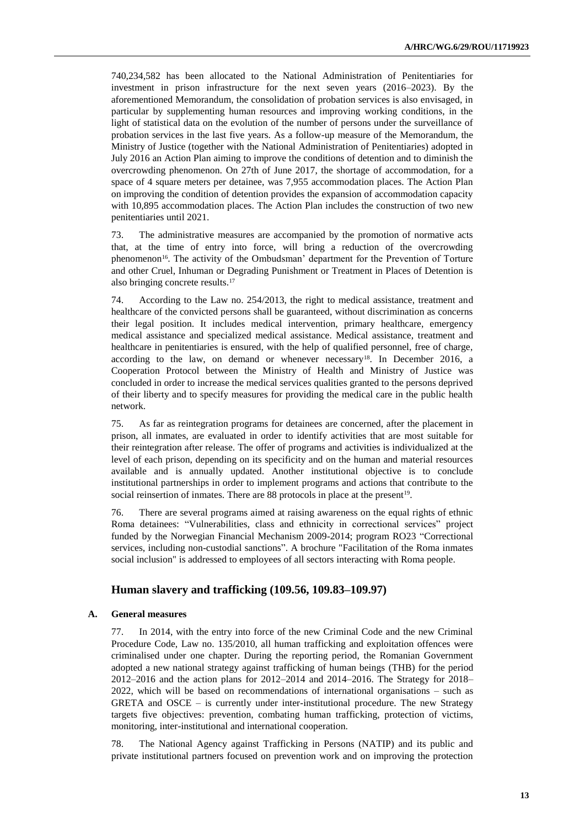740,234,582 has been allocated to the National Administration of Penitentiaries for investment in prison infrastructure for the next seven years (2016–2023). By the aforementioned Memorandum, the consolidation of probation services is also envisaged, in particular by supplementing human resources and improving working conditions, in the light of statistical data on the evolution of the number of persons under the surveillance of probation services in the last five years. As a follow-up measure of the Memorandum, the Ministry of Justice (together with the National Administration of Penitentiaries) adopted in July 2016 an Action Plan aiming to improve the conditions of detention and to diminish the overcrowding phenomenon. On 27th of June 2017, the shortage of accommodation, for a space of 4 square meters per detainee, was 7,955 accommodation places. The Action Plan on improving the condition of detention provides the expansion of accommodation capacity with 10,895 accommodation places. The Action Plan includes the construction of two new penitentiaries until 2021.

73. The administrative measures are accompanied by the promotion of normative acts that, at the time of entry into force, will bring a reduction of the overcrowding phenomenon<sup>16</sup>. The activity of the Ombudsman' department for the Prevention of Torture and other Cruel, Inhuman or Degrading Punishment or Treatment in Places of Detention is also bringing concrete results. 17

74. According to the Law no. 254/2013, the right to medical assistance, treatment and healthcare of the convicted persons shall be guaranteed, without discrimination as concerns their legal position. It includes medical intervention, primary healthcare, emergency medical assistance and specialized medical assistance. Medical assistance, treatment and healthcare in penitentiaries is ensured, with the help of qualified personnel, free of charge, according to the law, on demand or whenever necessary<sup>18</sup>. In December 2016, a Cooperation Protocol between the Ministry of Health and Ministry of Justice was concluded in order to increase the medical services qualities granted to the persons deprived of their liberty and to specify measures for providing the medical care in the public health network.

75. As far as reintegration programs for detainees are concerned, after the placement in prison, all inmates, are evaluated in order to identify activities that are most suitable for their reintegration after release. The offer of programs and activities is individualized at the level of each prison, depending on its specificity and on the human and material resources available and is annually updated. Another institutional objective is to conclude institutional partnerships in order to implement programs and actions that contribute to the social reinsertion of inmates. There are 88 protocols in place at the present<sup>19</sup>.

76. There are several programs aimed at raising awareness on the equal rights of ethnic Roma detainees: "Vulnerabilities, class and ethnicity in correctional services" project funded by the Norwegian Financial Mechanism 2009-2014; program RO23 "Correctional services, including non-custodial sanctions". A brochure "Facilitation of the Roma inmates social inclusion" is addressed to employees of all sectors interacting with Roma people.

## **Human slavery and trafficking (109.56, 109.83–109.97)**

#### **A. General measures**

77. In 2014, with the entry into force of the new Criminal Code and the new Criminal Procedure Code, Law no. 135/2010, all human trafficking and exploitation offences were criminalised under one chapter. During the reporting period, the Romanian Government adopted a new national strategy against trafficking of human beings (THB) for the period 2012–2016 and the action plans for 2012–2014 and 2014–2016. The Strategy for 2018– 2022, which will be based on recommendations of international organisations – such as GRETA and OSCE  $-$  is currently under inter-institutional procedure. The new Strategy targets five objectives: prevention, combating human trafficking, protection of victims, monitoring, inter-institutional and international cooperation.

78. The National Agency against Trafficking in Persons (NATIP) and its public and private institutional partners focused on prevention work and on improving the protection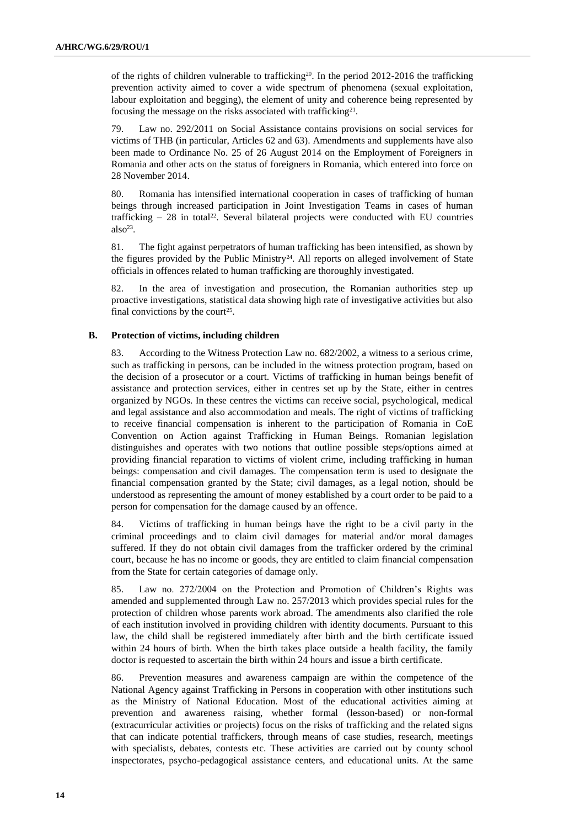of the rights of children vulnerable to trafficking<sup>20</sup>. In the period  $2012$ -2016 the trafficking prevention activity aimed to cover a wide spectrum of phenomena (sexual exploitation, labour exploitation and begging), the element of unity and coherence being represented by focusing the message on the risks associated with trafficking<sup>21</sup>.

79. Law no. 292/2011 on Social Assistance contains provisions on social services for victims of THB (in particular, Articles 62 and 63). Amendments and supplements have also been made to Ordinance No. 25 of 26 August 2014 on the Employment of Foreigners in Romania and other acts on the status of foreigners in Romania, which entered into force on 28 November 2014.

80. Romania has intensified international cooperation in cases of trafficking of human beings through increased participation in Joint Investigation Teams in cases of human trafficking  $-28$  in total<sup>22</sup>. Several bilateral projects were conducted with EU countries  $also^{23}$ .

81. The fight against perpetrators of human trafficking has been intensified, as shown by the figures provided by the Public Ministry<sup>24</sup>. All reports on alleged involvement of State officials in offences related to human trafficking are thoroughly investigated.

82. In the area of investigation and prosecution, the Romanian authorities step up proactive investigations, statistical data showing high rate of investigative activities but also final convictions by the court<sup>25</sup>.

#### **B. Protection of victims, including children**

83. According to the Witness Protection Law no. 682/2002, a witness to a serious crime, such as trafficking in persons, can be included in the witness protection program, based on the decision of a prosecutor or a court. Victims of trafficking in human beings benefit of assistance and protection services, either in centres set up by the State, either in centres organized by NGOs. In these centres the victims can receive social, psychological, medical and legal assistance and also accommodation and meals. The right of victims of trafficking to receive financial compensation is inherent to the participation of Romania in CoE Convention on Action against Trafficking in Human Beings. Romanian legislation distinguishes and operates with two notions that outline possible steps/options aimed at providing financial reparation to victims of violent crime, including trafficking in human beings: compensation and civil damages. The compensation term is used to designate the financial compensation granted by the State; civil damages, as a legal notion, should be understood as representing the amount of money established by a court order to be paid to a person for compensation for the damage caused by an offence.

84. Victims of trafficking in human beings have the right to be a civil party in the criminal proceedings and to claim civil damages for material and/or moral damages suffered. If they do not obtain civil damages from the trafficker ordered by the criminal court, because he has no income or goods, they are entitled to claim financial compensation from the State for certain categories of damage only.

85. Law no. 272/2004 on the Protection and Promotion of Children's Rights was amended and supplemented through Law no. 257/2013 which provides special rules for the protection of children whose parents work abroad. The amendments also clarified the role of each institution involved in providing children with identity documents. Pursuant to this law, the child shall be registered immediately after birth and the birth certificate issued within 24 hours of birth. When the birth takes place outside a health facility, the family doctor is requested to ascertain the birth within 24 hours and issue a birth certificate.

86. Prevention measures and awareness campaign are within the competence of the National Agency against Trafficking in Persons in cooperation with other institutions such as the Ministry of National Education. Most of the educational activities aiming at prevention and awareness raising, whether formal (lesson-based) or non-formal (extracurricular activities or projects) focus on the risks of trafficking and the related signs that can indicate potential traffickers, through means of case studies, research, meetings with specialists, debates, contests etc. These activities are carried out by county school inspectorates, psycho-pedagogical assistance centers, and educational units. At the same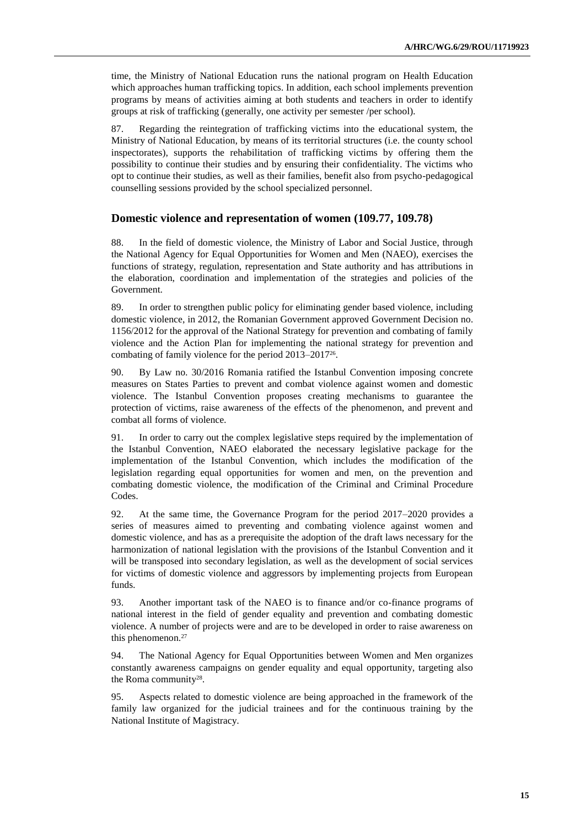time, the Ministry of National Education runs the national program on Health Education which approaches human trafficking topics. In addition, each school implements prevention programs by means of activities aiming at both students and teachers in order to identify groups at risk of trafficking (generally, one activity per semester /per school).

87. Regarding the reintegration of trafficking victims into the educational system, the Ministry of National Education, by means of its territorial structures (i.e. the county school inspectorates), supports the rehabilitation of trafficking victims by offering them the possibility to continue their studies and by ensuring their confidentiality. The victims who opt to continue their studies, as well as their families, benefit also from psycho-pedagogical counselling sessions provided by the school specialized personnel.

## **Domestic violence and representation of women (109.77, 109.78)**

88. In the field of domestic violence, the Ministry of Labor and Social Justice, through the National Agency for Equal Opportunities for Women and Men (NAEO), exercises the functions of strategy, regulation, representation and State authority and has attributions in the elaboration, coordination and implementation of the strategies and policies of the Government.

89. In order to strengthen public policy for eliminating gender based violence, including domestic violence, in 2012, the Romanian Government approved Government Decision no. 1156/2012 for the approval of the National Strategy for prevention and combating of family violence and the Action Plan for implementing the national strategy for prevention and combating of family violence for the period 2013–2017<sup>26</sup> .

90. By Law no. 30/2016 Romania ratified the Istanbul Convention imposing concrete measures on States Parties to prevent and combat violence against women and domestic violence. The Istanbul Convention proposes creating mechanisms to guarantee the protection of victims, raise awareness of the effects of the phenomenon, and prevent and combat all forms of violence.

91. In order to carry out the complex legislative steps required by the implementation of the Istanbul Convention, NAEO elaborated the necessary legislative package for the implementation of the Istanbul Convention, which includes the modification of the legislation regarding equal opportunities for women and men, on the prevention and combating domestic violence, the modification of the Criminal and Criminal Procedure Codes.

92. At the same time, the Governance Program for the period 2017–2020 provides a series of measures aimed to preventing and combating violence against women and domestic violence, and has as a prerequisite the adoption of the draft laws necessary for the harmonization of national legislation with the provisions of the Istanbul Convention and it will be transposed into secondary legislation, as well as the development of social services for victims of domestic violence and aggressors by implementing projects from European funds.

93. Another important task of the NAEO is to finance and/or co-finance programs of national interest in the field of gender equality and prevention and combating domestic violence. A number of projects were and are to be developed in order to raise awareness on this phenomenon. 27

94. The National Agency for Equal Opportunities between Women and Men organizes constantly awareness campaigns on gender equality and equal opportunity, targeting also the Roma community<sup>28</sup>.

95. Aspects related to domestic violence are being approached in the framework of the family law organized for the judicial trainees and for the continuous training by the National Institute of Magistracy.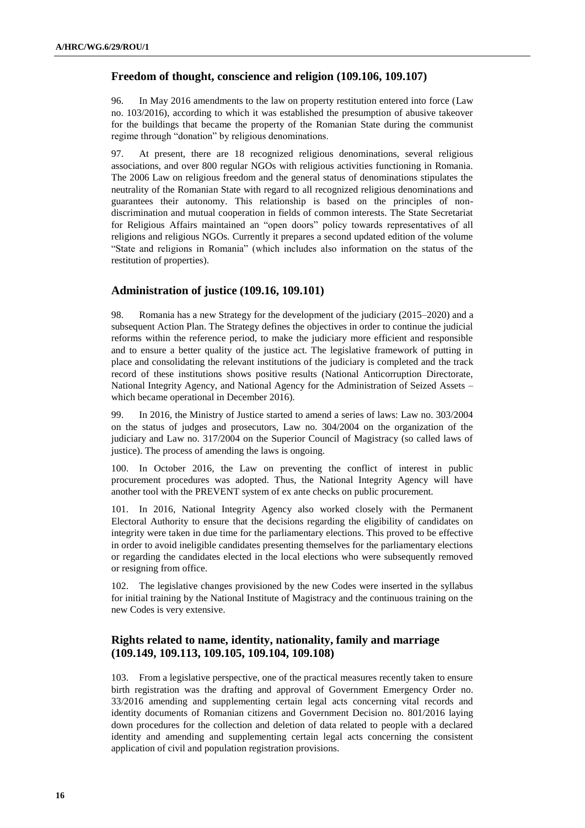## **Freedom of thought, conscience and religion (109.106, 109.107)**

96. In May 2016 amendments to the law on property restitution entered into force (Law no. 103/2016), according to which it was established the presumption of abusive takeover for the buildings that became the property of the Romanian State during the communist regime through "donation" by religious denominations.

97. At present, there are 18 recognized religious denominations, several religious associations, and over 800 regular NGOs with religious activities functioning in Romania. The 2006 Law on religious freedom and the general status of denominations stipulates the neutrality of the Romanian State with regard to all recognized religious denominations and guarantees their autonomy. This relationship is based on the principles of nondiscrimination and mutual cooperation in fields of common interests. The State Secretariat for Religious Affairs maintained an "open doors" policy towards representatives of all religions and religious NGOs. Currently it prepares a second updated edition of the volume "State and religions in Romania" (which includes also information on the status of the restitution of properties).

## **Administration of justice (109.16, 109.101)**

98. Romania has a new Strategy for the development of the judiciary (2015–2020) and a subsequent Action Plan. The Strategy defines the objectives in order to continue the judicial reforms within the reference period, to make the judiciary more efficient and responsible and to ensure a better quality of the justice act. The legislative framework of putting in place and consolidating the relevant institutions of the judiciary is completed and the track record of these institutions shows positive results (National Anticorruption Directorate, National Integrity Agency, and National Agency for the Administration of Seized Assets – which became operational in December 2016).

99. In 2016, the Ministry of Justice started to amend a series of laws: Law no. 303/2004 on the status of judges and prosecutors, Law no. 304/2004 on the organization of the judiciary and Law no. 317/2004 on the Superior Council of Magistracy (so called laws of justice). The process of amending the laws is ongoing.

100. In October 2016, the Law on preventing the conflict of interest in public procurement procedures was adopted. Thus, the National Integrity Agency will have another tool with the PREVENT system of ex ante checks on public procurement.

101. In 2016, National Integrity Agency also worked closely with the Permanent Electoral Authority to ensure that the decisions regarding the eligibility of candidates on integrity were taken in due time for the parliamentary elections. This proved to be effective in order to avoid ineligible candidates presenting themselves for the parliamentary elections or regarding the candidates elected in the local elections who were subsequently removed or resigning from office.

102. The legislative changes provisioned by the new Codes were inserted in the syllabus for initial training by the National Institute of Magistracy and the continuous training on the new Codes is very extensive.

## **Rights related to name, identity, nationality, family and marriage (109.149, 109.113, 109.105, 109.104, 109.108)**

103. From a legislative perspective, one of the practical measures recently taken to ensure birth registration was the drafting and approval of Government Emergency Order no. 33/2016 amending and supplementing certain legal acts concerning vital records and identity documents of Romanian citizens and Government Decision no. 801/2016 laying down procedures for the collection and deletion of data related to people with a declared identity and amending and supplementing certain legal acts concerning the consistent application of civil and population registration provisions.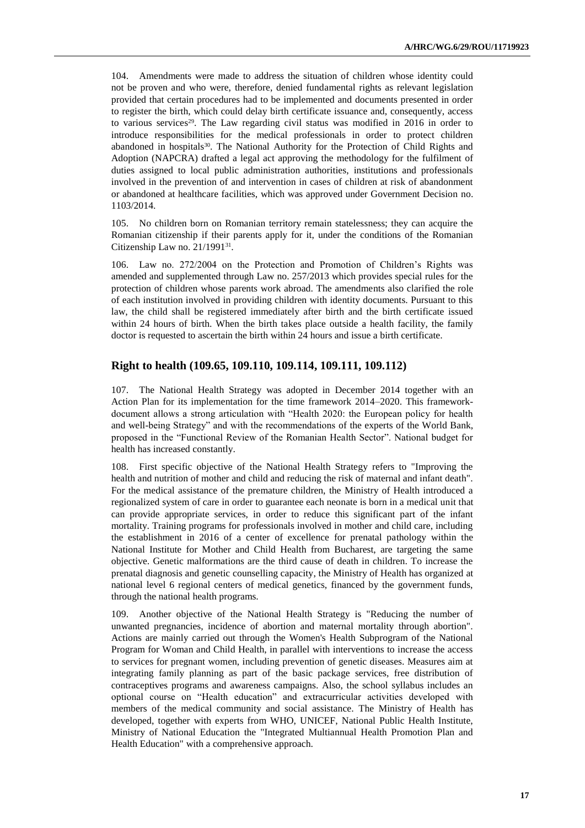104. Amendments were made to address the situation of children whose identity could not be proven and who were, therefore, denied fundamental rights as relevant legislation provided that certain procedures had to be implemented and documents presented in order to register the birth, which could delay birth certificate issuance and, consequently, access to various services<sup>29</sup>. The Law regarding civil status was modified in 2016 in order to introduce responsibilities for the medical professionals in order to protect children abandoned in hospitals<sup>30</sup>. The National Authority for the Protection of Child Rights and Adoption (NAPCRA) drafted a legal act approving the methodology for the fulfilment of duties assigned to local public administration authorities, institutions and professionals involved in the prevention of and intervention in cases of children at risk of abandonment or abandoned at healthcare facilities, which was approved under Government Decision no. 1103/2014.

105. No children born on Romanian territory remain statelessness; they can acquire the Romanian citizenship if their parents apply for it, under the conditions of the Romanian Citizenship Law no. 21/1991<sup>31</sup>.

Law no.  $272/2004$  on the Protection and Promotion of Children's Rights was amended and supplemented through Law no. 257/2013 which provides special rules for the protection of children whose parents work abroad. The amendments also clarified the role of each institution involved in providing children with identity documents. Pursuant to this law, the child shall be registered immediately after birth and the birth certificate issued within 24 hours of birth. When the birth takes place outside a health facility, the family doctor is requested to ascertain the birth within 24 hours and issue a birth certificate.

### **Right to health (109.65, 109.110, 109.114, 109.111, 109.112)**

107. The National Health Strategy was adopted in December 2014 together with an Action Plan for its implementation for the time framework 2014–2020. This frameworkdocument allows a strong articulation with "Health 2020: the European policy for health and well-being Strategy" and with the recommendations of the experts of the World Bank, proposed in the "Functional Review of the Romanian Health Sector". National budget for health has increased constantly.

108. First specific objective of the National Health Strategy refers to "Improving the health and nutrition of mother and child and reducing the risk of maternal and infant death". For the medical assistance of the premature children, the Ministry of Health introduced a regionalized system of care in order to guarantee each neonate is born in a medical unit that can provide appropriate services, in order to reduce this significant part of the infant mortality. Training programs for professionals involved in mother and child care, including the establishment in 2016 of a center of excellence for prenatal pathology within the National Institute for Mother and Child Health from Bucharest, are targeting the same objective. Genetic malformations are the third cause of death in children. To increase the prenatal diagnosis and genetic counselling capacity, the Ministry of Health has organized at national level 6 regional centers of medical genetics, financed by the government funds, through the national health programs.

109. Another objective of the National Health Strategy is "Reducing the number of unwanted pregnancies, incidence of abortion and maternal mortality through abortion". Actions are mainly carried out through the Women's Health Subprogram of the National Program for Woman and Child Health, in parallel with interventions to increase the access to services for pregnant women, including prevention of genetic diseases. Measures aim at integrating family planning as part of the basic package services, free distribution of contraceptives programs and awareness campaigns. Also, the school syllabus includes an optional course on "Health education" and extracurricular activities developed with members of the medical community and social assistance. The Ministry of Health has developed, together with experts from WHO, UNICEF, National Public Health Institute, Ministry of National Education the "Integrated Multiannual Health Promotion Plan and Health Education" with a comprehensive approach.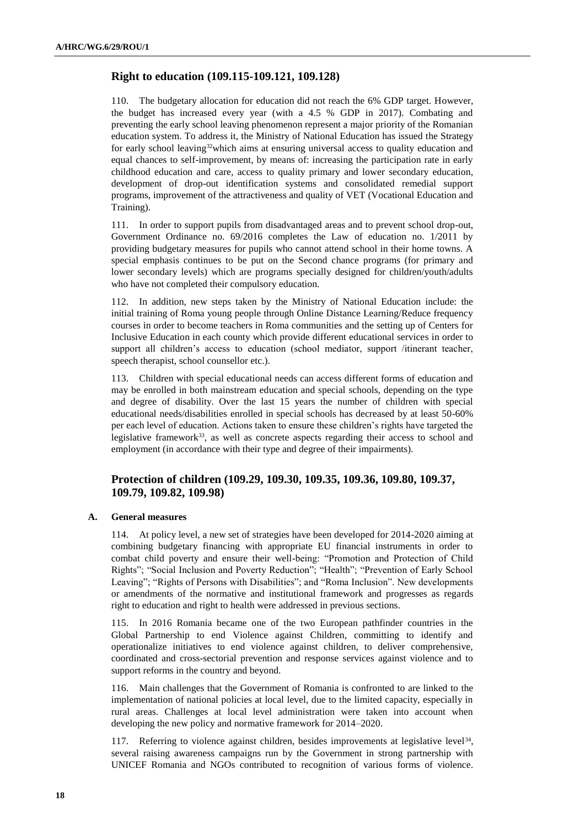## **Right to education (109.115-109.121, 109.128)**

110. The budgetary allocation for education did not reach the 6% GDP target. However, the budget has increased every year (with a 4.5 % GDP in 2017). Combating and preventing the early school leaving phenomenon represent a major priority of the Romanian education system. To address it, the Ministry of National Education has issued the Strategy for early school leaving<sup>32</sup>which aims at ensuring universal access to quality education and equal chances to self-improvement, by means of: increasing the participation rate in early childhood education and care, access to quality primary and lower secondary education, development of drop-out identification systems and consolidated remedial support programs, improvement of the attractiveness and quality of VET (Vocational Education and Training).

111. In order to support pupils from disadvantaged areas and to prevent school drop-out, Government Ordinance no. 69/2016 completes the Law of education no. 1/2011 by providing budgetary measures for pupils who cannot attend school in their home towns. A special emphasis continues to be put on the Second chance programs (for primary and lower secondary levels) which are programs specially designed for children/youth/adults who have not completed their compulsory education.

112. In addition, new steps taken by the Ministry of National Education include: the initial training of Roma young people through Online Distance Learning/Reduce frequency courses in order to become teachers in Roma communities and the setting up of Centers for Inclusive Education in each county which provide different educational services in order to support all children's access to education (school mediator, support /itinerant teacher, speech therapist, school counsellor etc.).

113. Children with special educational needs can access different forms of education and may be enrolled in both mainstream education and special schools, depending on the type and degree of disability. Over the last 15 years the number of children with special educational needs/disabilities enrolled in special schools has decreased by at least 50-60% per each level of education. Actions taken to ensure these children's rights have targeted the legislative framework<sup>33</sup>, as well as concrete aspects regarding their access to school and employment (in accordance with their type and degree of their impairments).

## **Protection of children (109.29, 109.30, 109.35, 109.36, 109.80, 109.37, 109.79, 109.82, 109.98)**

#### **A. General measures**

114. At policy level, a new set of strategies have been developed for 2014-2020 aiming at combining budgetary financing with appropriate EU financial instruments in order to combat child poverty and ensure their well-being: "Promotion and Protection of Child Rights"; "Social Inclusion and Poverty Reduction"; "Health"; "Prevention of Early School Leaving"; "Rights of Persons with Disabilities"; and "Roma Inclusion". New developments or amendments of the normative and institutional framework and progresses as regards right to education and right to health were addressed in previous sections.

115. In 2016 Romania became one of the two European pathfinder countries in the Global Partnership to end Violence against Children, committing to identify and operationalize initiatives to end violence against children, to deliver comprehensive, coordinated and cross-sectorial prevention and response services against violence and to support reforms in the country and beyond.

116. Main challenges that the Government of Romania is confronted to are linked to the implementation of national policies at local level, due to the limited capacity, especially in rural areas. Challenges at local level administration were taken into account when developing the new policy and normative framework for 2014–2020.

117. Referring to violence against children, besides improvements at legislative level<sup>34</sup>, several raising awareness campaigns run by the Government in strong partnership with UNICEF Romania and NGOs contributed to recognition of various forms of violence.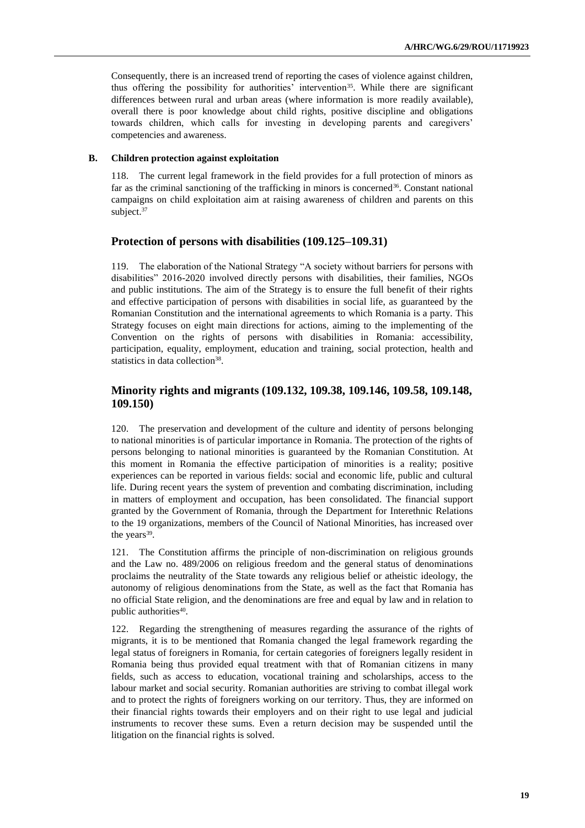Consequently, there is an increased trend of reporting the cases of violence against children, thus offering the possibility for authorities' intervention<sup>35</sup>. While there are significant differences between rural and urban areas (where information is more readily available), overall there is poor knowledge about child rights, positive discipline and obligations towards children, which calls for investing in developing parents and caregivers' competencies and awareness.

#### **B. Children protection against exploitation**

118. The current legal framework in the field provides for a full protection of minors as far as the criminal sanctioning of the trafficking in minors is concerned<sup>36</sup>. Constant national campaigns on child exploitation aim at raising awareness of children and parents on this subject. 37

### **Protection of persons with disabilities (109.125–109.31)**

119. The elaboration of the National Strategy "A society without barriers for persons with disabilities" 2016-2020 involved directly persons with disabilities, their families, NGOs and public institutions. The aim of the Strategy is to ensure the full benefit of their rights and effective participation of persons with disabilities in social life, as guaranteed by the Romanian Constitution and the international agreements to which Romania is a party. This Strategy focuses on eight main directions for actions, aiming to the implementing of the Convention on the rights of persons with disabilities in Romania: accessibility, participation, equality, employment, education and training, social protection, health and statistics in data collection<sup>38</sup>.

## **Minority rights and migrants (109.132, 109.38, 109.146, 109.58, 109.148, 109.150)**

120. The preservation and development of the culture and identity of persons belonging to national minorities is of particular importance in Romania. The protection of the rights of persons belonging to national minorities is guaranteed by the Romanian Constitution. At this moment in Romania the effective participation of minorities is a reality; positive experiences can be reported in various fields: social and economic life, public and cultural life. During recent years the system of prevention and combating discrimination, including in matters of employment and occupation, has been consolidated. The financial support granted by the Government of Romania, through the Department for Interethnic Relations to the 19 organizations, members of the Council of National Minorities, has increased over the years<sup>39</sup>.

121. The Constitution affirms the principle of non-discrimination on religious grounds and the Law no. 489/2006 on religious freedom and the general status of denominations proclaims the neutrality of the State towards any religious belief or atheistic ideology, the autonomy of religious denominations from the State, as well as the fact that Romania has no official State religion, and the denominations are free and equal by law and in relation to public authorities<sup>40</sup>.

122. Regarding the strengthening of measures regarding the assurance of the rights of migrants, it is to be mentioned that Romania changed the legal framework regarding the legal status of foreigners in Romania, for certain categories of foreigners legally resident in Romania being thus provided equal treatment with that of Romanian citizens in many fields, such as access to education, vocational training and scholarships, access to the labour market and social security. Romanian authorities are striving to combat illegal work and to protect the rights of foreigners working on our territory. Thus, they are informed on their financial rights towards their employers and on their right to use legal and judicial instruments to recover these sums. Even a return decision may be suspended until the litigation on the financial rights is solved.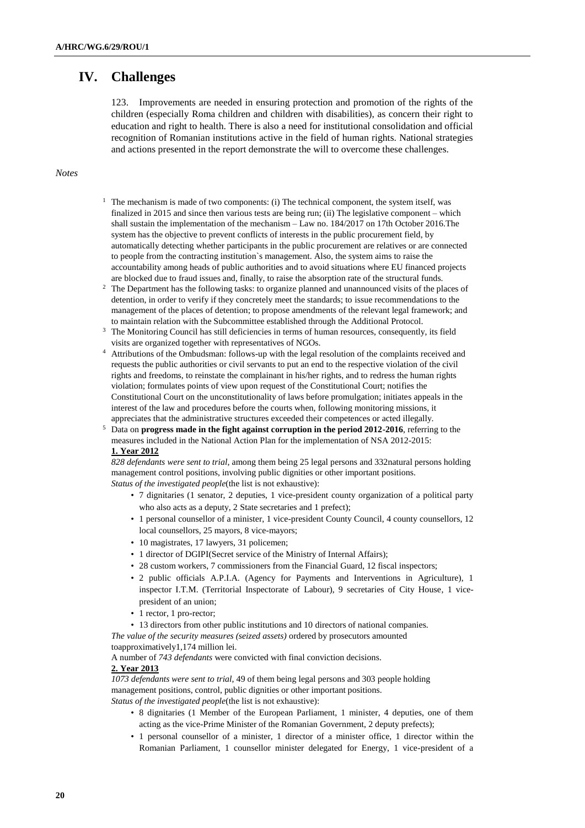# **IV. Challenges**

123. Improvements are needed in ensuring protection and promotion of the rights of the children (especially Roma children and children with disabilities), as concern their right to education and right to health. There is also a need for institutional consolidation and official recognition of Romanian institutions active in the field of human rights. National strategies and actions presented in the report demonstrate the will to overcome these challenges.

#### *Notes*

- <sup>1</sup> The mechanism is made of two components: (i) The technical component, the system itself, was finalized in 2015 and since then various tests are being run; (ii) The legislative component – which shall sustain the implementation of the mechanism – Law no. 184/2017 on 17th October 2016.The system has the objective to prevent conflicts of interests in the public procurement field, by automatically detecting whether participants in the public procurement are relatives or are connected to people from the contracting institution`s management. Also, the system aims to raise the accountability among heads of public authorities and to avoid situations where EU financed projects are blocked due to fraud issues and, finally, to raise the absorption rate of the structural funds.
- <sup>2</sup> The Department has the following tasks: to organize planned and unannounced visits of the places of detention, in order to verify if they concretely meet the standards; to issue recommendations to the management of the places of detention; to propose amendments of the relevant legal framework; and to maintain relation with the Subcommittee established through the Additional Protocol.
- <sup>3</sup> The Monitoring Council has still deficiencies in terms of human resources, consequently, its field visits are organized together with representatives of NGOs.
- <sup>4</sup> Attributions of the Ombudsman: follows-up with the legal resolution of the complaints received and requests the public authorities or civil servants to put an end to the respective violation of the civil rights and freedoms, to reinstate the complainant in his/her rights, and to redress the human rights violation; formulates points of view upon request of the Constitutional Court; notifies the Constitutional Court on the unconstitutionality of laws before promulgation; initiates appeals in the interest of the law and procedures before the courts when, following monitoring missions, it appreciates that the administrative structures exceeded their competences or acted illegally.
- <sup>5</sup> Data on **progress made in the fight against corruption in the period 2012-2016**, referring to the measures included in the National Action Plan for the implementation of NSA 2012-2015: **1. Year 2012**

*828 defendants were sent to trial*, among them being 25 legal persons and 332natural persons holding management control positions, involving public dignities or other important positions. *Status of the investigated people*(the list is not exhaustive):

- 7 dignitaries (1 senator, 2 deputies, 1 vice-president county organization of a political party who also acts as a deputy, 2 State secretaries and 1 prefect);
- 1 personal counsellor of a minister, 1 vice-president County Council, 4 county counsellors, 12 local counsellors, 25 mayors, 8 vice-mayors;
- 10 magistrates, 17 lawyers, 31 policemen;
- 1 director of DGIPI(Secret service of the Ministry of Internal Affairs);
- 28 custom workers, 7 commissioners from the Financial Guard, 12 fiscal inspectors;
- 2 public officials A.P.I.A. (Agency for Payments and Interventions in Agriculture), 1 inspector I.T.M. (Territorial Inspectorate of Labour), 9 secretaries of City House, 1 vicepresident of an union;
- 1 rector, 1 pro-rector;
- 13 directors from other public institutions and 10 directors of national companies.

*The value of the security measures (seized assets)* ordered by prosecutors amounted toapproximatively1,174 million lei.

A number of *743 defendants* were convicted with final conviction decisions.

## **2. Year 2013**

*1073 defendants were sent to trial*, 49 of them being legal persons and 303 people holding management positions, control, public dignities or other important positions. *Status of the investigated people*(the list is not exhaustive):

- 8 dignitaries (1 Member of the European Parliament, 1 minister, 4 deputies, one of them acting as the vice-Prime Minister of the Romanian Government, 2 deputy prefects);
- 1 personal counsellor of a minister, 1 director of a minister office, 1 director within the Romanian Parliament, 1 counsellor minister delegated for Energy, 1 vice-president of a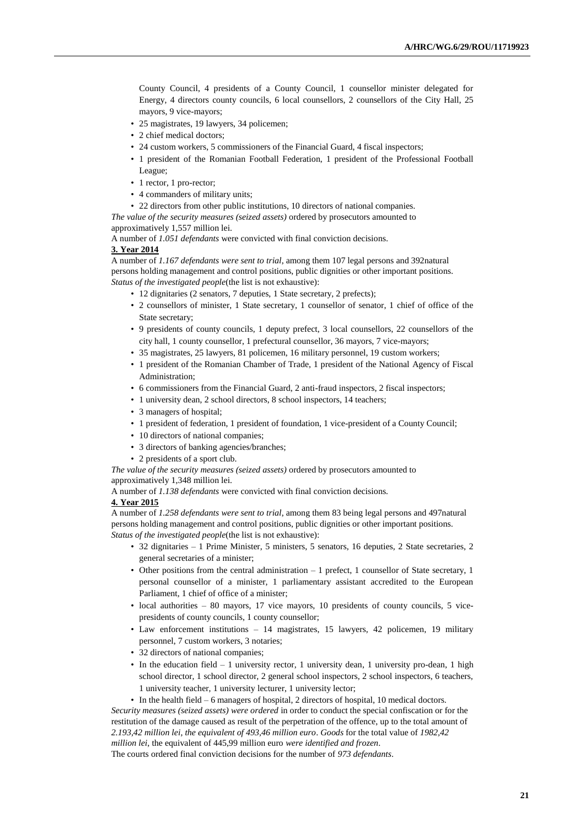County Council, 4 presidents of a County Council, 1 counsellor minister delegated for Energy, 4 directors county councils, 6 local counsellors, 2 counsellors of the City Hall, 25 mayors, 9 vice-mayors;

- 25 magistrates, 19 lawyers, 34 policemen;
- 2 chief medical doctors;
- 24 custom workers, 5 commissioners of the Financial Guard, 4 fiscal inspectors;
- 1 president of the Romanian Football Federation, 1 president of the Professional Football League;
- 1 rector, 1 pro-rector;
- 4 commanders of military units;
- 22 directors from other public institutions, 10 directors of national companies.

*The value of the security measures (seized assets)* ordered by prosecutors amounted to approximatively 1,557 million lei.

A number of *1.051 defendants* were convicted with final conviction decisions.

## **3. Year 2014**

A number of *1.167 defendants were sent to trial*, among them 107 legal persons and 392natural persons holding management and control positions, public dignities or other important positions. *Status of the investigated people*(the list is not exhaustive):

- 12 dignitaries (2 senators, 7 deputies, 1 State secretary, 2 prefects);
- 2 counsellors of minister, 1 State secretary, 1 counsellor of senator, 1 chief of office of the State secretary;
- 9 presidents of county councils, 1 deputy prefect, 3 local counsellors, 22 counsellors of the city hall, 1 county counsellor, 1 prefectural counsellor, 36 mayors, 7 vice-mayors;
- 35 magistrates, 25 lawyers, 81 policemen, 16 military personnel, 19 custom workers;
- 1 president of the Romanian Chamber of Trade, 1 president of the National Agency of Fiscal Administration;
- 6 commissioners from the Financial Guard, 2 anti-fraud inspectors, 2 fiscal inspectors;
- 1 university dean, 2 school directors, 8 school inspectors, 14 teachers;
- 3 managers of hospital;
- 1 president of federation, 1 president of foundation, 1 vice-president of a County Council;
- 10 directors of national companies;
- 3 directors of banking agencies/branches;
- 2 presidents of a sport club.

*The value of the security measures (seized assets)* ordered by prosecutors amounted to approximatively 1,348 million lei.

A number of *1.138 defendants* were convicted with final conviction decisions*.*

#### **4. Year 2015**

A number of *1.258 defendants were sent to trial*, among them 83 being legal persons and 497natural persons holding management and control positions, public dignities or other important positions. *Status of the investigated people*(the list is not exhaustive):

- 32 dignitaries 1 Prime Minister, 5 ministers, 5 senators, 16 deputies, 2 State secretaries, 2 general secretaries of a minister;
- Other positions from the central administration 1 prefect, 1 counsellor of State secretary, 1 personal counsellor of a minister, 1 parliamentary assistant accredited to the European Parliament, 1 chief of office of a minister;
- local authorities 80 mayors, 17 vice mayors, 10 presidents of county councils, 5 vicepresidents of county councils, 1 county counsellor;
- Law enforcement institutions 14 magistrates, 15 lawyers, 42 policemen, 19 military personnel, 7 custom workers, 3 notaries;
- 32 directors of national companies;
- In the education field 1 university rector, 1 university dean, 1 university pro-dean, 1 high school director, 1 school director, 2 general school inspectors, 2 school inspectors, 6 teachers, 1 university teacher, 1 university lecturer, 1 university lector;
- In the health field 6 managers of hospital, 2 directors of hospital, 10 medical doctors.

*Security measures (seized assets) were ordered* in order to conduct the special confiscation or for the restitution of the damage caused as result of the perpetration of the offence, up to the total amount of *2.193,42 million lei, the equivalent of 493,46 million euro*. *Goods* for the total value of *1982,42* 

*million lei*, the equivalent of 445,99 million euro *were identified and frozen*.

The courts ordered final conviction decisions for the number of *973 defendants*.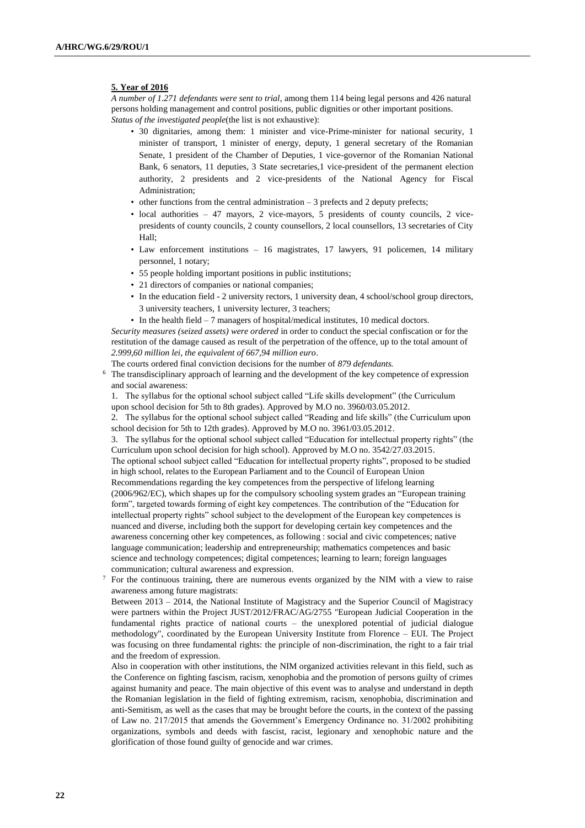#### **5. Year of 2016**

*A number of 1.271 defendants were sent to trial*, among them 114 being legal persons and 426 natural persons holding management and control positions, public dignities or other important positions. *Status of the investigated people*(the list is not exhaustive):

- 30 dignitaries, among them: 1 minister and vice-Prime-minister for national security, 1 minister of transport, 1 minister of energy, deputy, 1 general secretary of the Romanian Senate, 1 president of the Chamber of Deputies, 1 vice-governor of the Romanian National Bank, 6 senators, 11 deputies, 3 State secretaries,1 vice-president of the permanent election authority, 2 presidents and 2 vice-presidents of the National Agency for Fiscal Administration;
- $\bullet$  other functions from the central administration  $-3$  prefects and 2 deputy prefects;
- local authorities 47 mayors, 2 vice-mayors, 5 presidents of county councils, 2 vicepresidents of county councils, 2 county counsellors, 2 local counsellors, 13 secretaries of City Hall;
- Law enforcement institutions 16 magistrates, 17 lawyers, 91 policemen, 14 military personnel, 1 notary;
- 55 people holding important positions in public institutions;
- 21 directors of companies or national companies;
- In the education field 2 university rectors, 1 university dean, 4 school/school group directors, 3 university teachers, 1 university lecturer, 3 teachers;
- In the health field 7 managers of hospital/medical institutes, 10 medical doctors.

*Security measures (seized assets) were ordered* in order to conduct the special confiscation or for the restitution of the damage caused as result of the perpetration of the offence, up to the total amount of *2.999,60 million lei, the equivalent of 667,94 million euro*.

The courts ordered final conviction decisions for the number of *879 defendants.*

<sup>6</sup> The transdisciplinary approach of learning and the development of the key competence of expression and social awareness:

1. The syllabus for the optional school subject called "Life skills development" (the Curriculum upon school decision for 5th to 8th grades). Approved by M.O no. 3960/03.05.2012.

2. The syllabus for the optional school subject called "Reading and life skills" (the Curriculum upon school decision for 5th to 12th grades). Approved by M.O no. 3961/03.05.2012.

3. The syllabus for the optional school subject called "Education for intellectual property rights" (the Curriculum upon school decision for high school). Approved by M.O no. 3542/27.03.2015.

The optional school subject called "Education for intellectual property rights", proposed to be studied in high school, relates to the European Parliament and to the Council of European Union

Recommendations regarding the key competences from the perspective of lifelong learning (2006/962/EC), which shapes up for the compulsory schooling system grades an "European training form", targeted towards forming of eight key competences. The contribution of the "Education for intellectual property rights" school subject to the development of the European key competences is nuanced and diverse, including both the support for developing certain key competences and the awareness concerning other key competences, as following : social and civic competences; native language communication; leadership and entrepreneurship; mathematics competences and basic science and technology competences; digital competences; learning to learn; foreign languages communication; cultural awareness and expression.

<sup>7</sup> For the continuous training, there are numerous events organized by the NIM with a view to raise awareness among future magistrats:

Between 2013 – 2014, the National Institute of Magistracy and the Superior Council of Magistracy were partners within the Project JUST/2012/FRAC/AG/2755 "European Judicial Cooperation in the fundamental rights practice of national courts – the unexplored potential of judicial dialogue methodology", coordinated by the European University Institute from Florence – EUI. The Project was focusing on three fundamental rights: the principle of non-discrimination, the right to a fair trial and the freedom of expression.

Also in cooperation with other institutions, the NIM organized activities relevant in this field, such as the Conference on fighting fascism, racism, xenophobia and the promotion of persons guilty of crimes against humanity and peace. The main objective of this event was to analyse and understand in depth the Romanian legislation in the field of fighting extremism, racism, xenophobia, discrimination and anti-Semitism, as well as the cases that may be brought before the courts, in the context of the passing of Law no. 217/2015 that amends the Government's Emergency Ordinance no. 31/2002 prohibiting organizations, symbols and deeds with fascist, racist, legionary and xenophobic nature and the glorification of those found guilty of genocide and war crimes.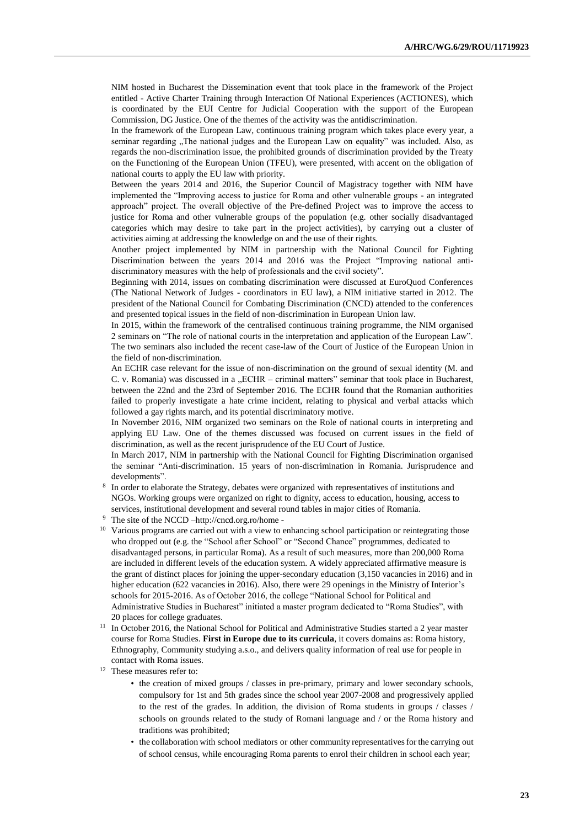NIM hosted in Bucharest the Dissemination event that took place in the framework of the Project entitled - Active Charter Training through Interaction Of National Experiences (ACTIONES), which is coordinated by the EUI Centre for Judicial Cooperation with the support of the European Commission, DG Justice. One of the themes of the activity was the antidiscrimination.

In the framework of the European Law, continuous training program which takes place every year, a seminar regarding "The national judges and the European Law on equality" was included. Also, as regards the non-discrimination issue, the prohibited grounds of discrimination provided by the Treaty on the Functioning of the European Union (TFEU), were presented, with accent on the obligation of national courts to apply the EU law with priority.

Between the years 2014 and 2016, the Superior Council of Magistracy together with NIM have implemented the "Improving access to justice for Roma and other vulnerable groups - an integrated approach" project. The overall objective of the Pre-defined Project was to improve the access to justice for Roma and other vulnerable groups of the population (e.g. other socially disadvantaged categories which may desire to take part in the project activities), by carrying out a cluster of activities aiming at addressing the knowledge on and the use of their rights.

Another project implemented by NIM in partnership with the National Council for Fighting Discrimination between the years 2014 and 2016 was the Project "Improving national antidiscriminatory measures with the help of professionals and the civil society".

Beginning with 2014, issues on combating discrimination were discussed at EuroQuod Conferences (The National Network of Judges - coordinators in EU law), a NIM initiative started in 2012. The president of the National Council for Combating Discrimination (CNCD) attended to the conferences and presented topical issues in the field of non-discrimination in European Union law.

In 2015, within the framework of the centralised continuous training programme, the NIM organised 2 seminars on "The role of national courts in the interpretation and application of the European Law". The two seminars also included the recent case-law of the Court of Justice of the European Union in the field of non-discrimination.

An ECHR case relevant for the issue of non-discrimination on the ground of sexual identity (M. and C. v. Romania) was discussed in a "ECHR – criminal matters" seminar that took place in Bucharest, between the 22nd and the 23rd of September 2016. The ECHR found that the Romanian authorities failed to properly investigate a hate crime incident, relating to physical and verbal attacks which followed a gay rights march, and its potential discriminatory motive.

In November 2016, NIM organized two seminars on the Role of national courts in interpreting and applying EU Law. One of the themes discussed was focused on current issues in the field of discrimination, as well as the recent jurisprudence of the EU Court of Justice.

In March 2017, NIM in partnership with the National Council for Fighting Discrimination organised the seminar "Anti-discrimination. 15 years of non-discrimination in Romania. Jurisprudence and developments".

- 8 In order to elaborate the Strategy, debates were organized with representatives of institutions and NGOs. Working groups were organized on right to dignity, access to education, housing, access to services, institutional development and several round tables in major cities of Romania.
- <sup>9</sup> The site of the NCCD [–http://cncd.org.ro/home -](http://cncd.org.ro/home%20-)
- <sup>10</sup> Various programs are carried out with a view to enhancing school participation or reintegrating those who dropped out (e.g. the "School after School" or "Second Chance" programmes, dedicated to disadvantaged persons, in particular Roma). As a result of such measures, more than 200,000 Roma are included in different levels of the education system. A widely appreciated affirmative measure is the grant of distinct places for joining the upper-secondary education (3,150 vacancies in 2016) and in higher education (622 vacancies in 2016). Also, there were 29 openings in the Ministry of Interior's schools for 2015-2016. As of October 2016, the college "National School for Political and Administrative Studies in Bucharest" initiated a master program dedicated to "Roma Studies", with 20 places for college graduates.
- <sup>11</sup> In October 2016, the National School for Political and Administrative Studies started a 2 year master course for Roma Studies. **First in Europe due to its curricula**, it covers domains as: Roma history, Ethnography, Community studying a.s.o., and delivers quality information of real use for people in contact with Roma issues.
- <sup>12</sup> These measures refer to:
	- the creation of mixed groups / classes in pre-primary, primary and lower secondary schools, compulsory for 1st and 5th grades since the school year 2007-2008 and progressively applied to the rest of the grades. In addition, the division of Roma students in groups / classes / schools on grounds related to the study of Romani language and / or the Roma history and traditions was prohibited;
	- the collaboration with school mediators or other community representatives for the carrying out of school census, while encouraging Roma parents to enrol their children in school each year;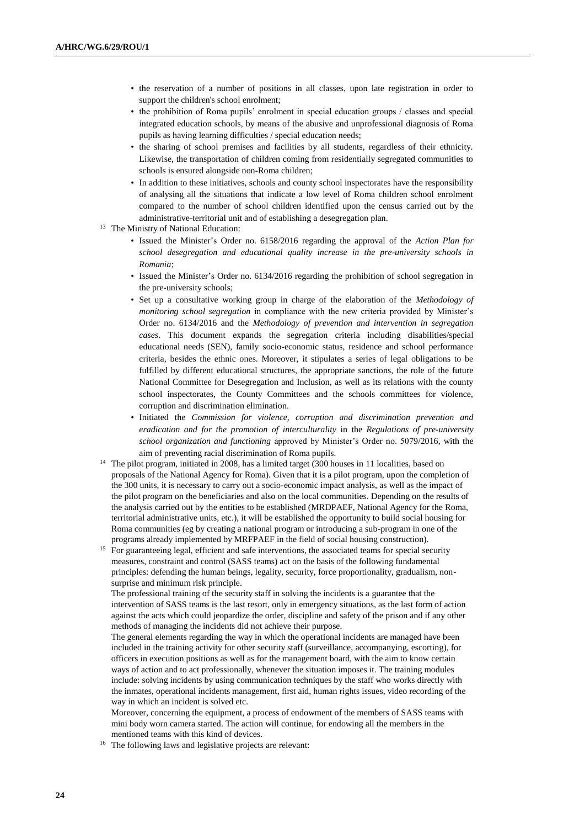- the reservation of a number of positions in all classes, upon late registration in order to support the children's school enrolment;
- the prohibition of Roma pupils' enrolment in special education groups / classes and special integrated education schools, by means of the abusive and unprofessional diagnosis of Roma pupils as having learning difficulties / special education needs;
- the sharing of school premises and facilities by all students, regardless of their ethnicity. Likewise, the transportation of children coming from residentially segregated communities to schools is ensured alongside non-Roma children;
- In addition to these initiatives, schools and county school inspectorates have the responsibility of analysing all the situations that indicate a low level of Roma children school enrolment compared to the number of school children identified upon the census carried out by the administrative-territorial unit and of establishing a desegregation plan.
- <sup>13</sup> The Ministry of National Education:
	- Issued the Minister's Order no. 6158/2016 regarding the approval of the *Action Plan for school desegregation and educational quality increase in the pre-university schools in Romania*;
	- Issued the Minister's Order no. 6134/2016 regarding the prohibition of school segregation in the pre-university schools;
	- Set up a consultative working group in charge of the elaboration of the *Methodology of monitoring school segregation* in compliance with the new criteria provided by Minister's Order no. 6134/2016 and the *Methodology of prevention and intervention in segregation cases*. This document expands the segregation criteria including disabilities/special educational needs (SEN), family socio-economic status, residence and school performance criteria, besides the ethnic ones. Moreover, it stipulates a series of legal obligations to be fulfilled by different educational structures, the appropriate sanctions, the role of the future National Committee for Desegregation and Inclusion, as well as its relations with the county school inspectorates, the County Committees and the schools committees for violence, corruption and discrimination elimination.
	- Initiated the *Commission for violence, corruption and discrimination prevention and eradication and for the promotion of interculturality* in the *Regulations of pre-university school organization and functioning* approved by Minister's Order no. 5079/2016, with the aim of preventing racial discrimination of Roma pupils.
- <sup>14</sup> The pilot program, initiated in 2008, has a limited target (300 houses in 11 localities, based on proposals of the National Agency for Roma). Given that it is a pilot program, upon the completion of the 300 units, it is necessary to carry out a socio-economic impact analysis, as well as the impact of the pilot program on the beneficiaries and also on the local communities. Depending on the results of the analysis carried out by the entities to be established (MRDPAEF, National Agency for the Roma, territorial administrative units, etc.), it will be established the opportunity to build social housing for Roma communities (eg by creating a national program or introducing a sub-program in one of the programs already implemented by MRFPAEF in the field of social housing construction).
- <sup>15</sup> For guaranteeing legal, efficient and safe interventions, the associated teams for special security measures, constraint and control (SASS teams) act on the basis of the following fundamental principles: defending the human beings, legality, security, force proportionality, gradualism, nonsurprise and minimum risk principle.

The professional training of the security staff in solving the incidents is a guarantee that the intervention of SASS teams is the last resort, only in emergency situations, as the last form of action against the acts which could jeopardize the order, discipline and safety of the prison and if any other methods of managing the incidents did not achieve their purpose.

The general elements regarding the way in which the operational incidents are managed have been included in the training activity for other security staff (surveillance, accompanying, escorting), for officers in execution positions as well as for the management board, with the aim to know certain ways of action and to act professionally, whenever the situation imposes it. The training modules include: solving incidents by using communication techniques by the staff who works directly with the inmates, operational incidents management, first aid, human rights issues, video recording of the way in which an incident is solved etc.

Moreover, concerning the equipment, a process of endowment of the members of SASS teams with mini body worn camera started. The action will continue, for endowing all the members in the mentioned teams with this kind of devices.

<sup>16</sup> The following laws and legislative projects are relevant: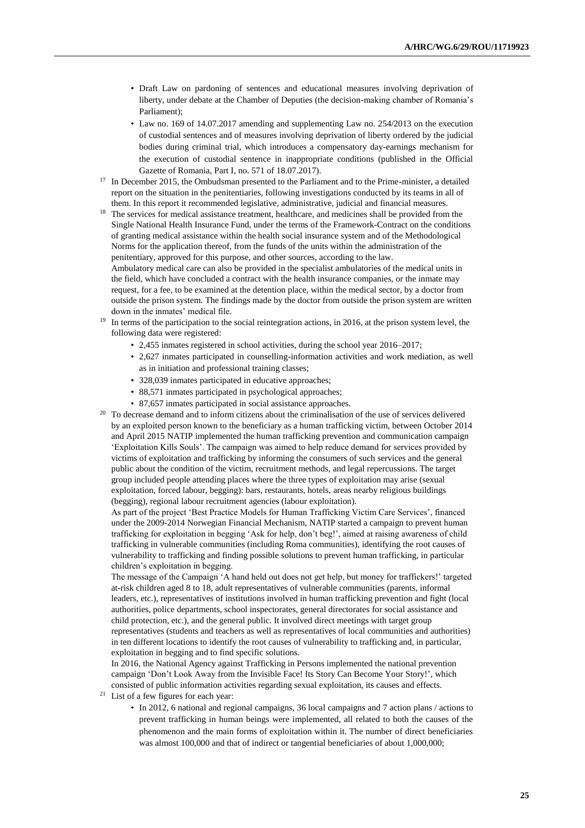- Draft Law on pardoning of sentences and educational measures involving deprivation of liberty, under debate at the Chamber of Deputies (the decision-making chamber of Romania's Parliament);
- Law no. 169 of 14.07.2017 amending and supplementing Law no. 254/2013 on the execution of custodial sentences and of measures involving deprivation of liberty ordered by the judicial bodies during criminal trial, which introduces a compensatory day-earnings mechanism for the execution of custodial sentence in inappropriate conditions (published in the Official Gazette of Romania, Part I, no. 571 of 18.07.2017).
- <sup>17</sup> In December 2015, the Ombudsman presented to the Parliament and to the Prime-minister, a detailed report on the situation in the penitentiaries, following investigations conducted by its teams in all of them. In this report it recommended legislative, administrative, judicial and financial measures.
- <sup>18</sup> The services for medical assistance treatment, healthcare, and medicines shall be provided from the Single National Health Insurance Fund, under the terms of the Framework-Contract on the conditions of granting medical assistance within the health social insurance system and of the Methodological Norms for the application thereof, from the funds of the units within the administration of the penitentiary, approved for this purpose, and other sources, according to the law. Ambulatory medical care can also be provided in the specialist ambulatories of the medical units in

the field, which have concluded a contract with the health insurance companies, or the inmate may request, for a fee, to be examined at the detention place, within the medical sector, by a doctor from outside the prison system. The findings made by the doctor from outside the prison system are written down in the inmates' medical file.

- <sup>19</sup> In terms of the participation to the social reintegration actions, in 2016, at the prison system level, the following data were registered:
	- 2,455 inmates registered in school activities, during the school year 2016–2017;
	- 2,627 inmates participated in counselling-information activities and work mediation, as well as in initiation and professional training classes;
	- 328,039 inmates participated in educative approaches;
	- 88,571 inmates participated in psychological approaches;
	- 87,657 inmates participated in social assistance approaches.
- <sup>20</sup> To decrease demand and to inform citizens about the criminalisation of the use of services delivered by an exploited person known to the beneficiary as a human trafficking victim, between October 2014 and April 2015 NATIP implemented the human trafficking prevention and communication campaign 'Exploitation Kills Souls'. The campaign was aimed to help reduce demand for services provided by victims of exploitation and trafficking by informing the consumers of such services and the general public about the condition of the victim, recruitment methods, and legal repercussions. The target group included people attending places where the three types of exploitation may arise (sexual exploitation, forced labour, begging): bars, restaurants, hotels, areas nearby religious buildings (begging), regional labour recruitment agencies (labour exploitation).

As part of the project 'Best Practice Models for Human Trafficking Victim Care Services', financed under the 2009-2014 Norwegian Financial Mechanism, NATIP started a campaign to prevent human trafficking for exploitation in begging 'Ask for help, don't beg!', aimed at raising awareness of child trafficking in vulnerable communities (including Roma communities), identifying the root causes of vulnerability to trafficking and finding possible solutions to prevent human trafficking, in particular children's exploitation in begging.

The message of the Campaign 'A hand held out does not get help, but money for traffickers!' targeted at-risk children aged 8 to 18, adult representatives of vulnerable communities (parents, informal leaders, etc.), representatives of institutions involved in human trafficking prevention and fight (local authorities, police departments, school inspectorates, general directorates for social assistance and child protection, etc.), and the general public. It involved direct meetings with target group representatives (students and teachers as well as representatives of local communities and authorities) in ten different locations to identify the root causes of vulnerability to trafficking and, in particular, exploitation in begging and to find specific solutions.

In 2016, the National Agency against Trafficking in Persons implemented the national prevention campaign 'Don't Look Away from the Invisible Face! Its Story Can Become Your Story!', which consisted of public information activities regarding sexual exploitation, its causes and effects.

- <sup>21</sup> List of a few figures for each year:
	- In 2012, 6 national and regional campaigns, 36 local campaigns and 7 action plans / actions to prevent trafficking in human beings were implemented, all related to both the causes of the phenomenon and the main forms of exploitation within it. The number of direct beneficiaries was almost 100,000 and that of indirect or tangential beneficiaries of about 1,000,000;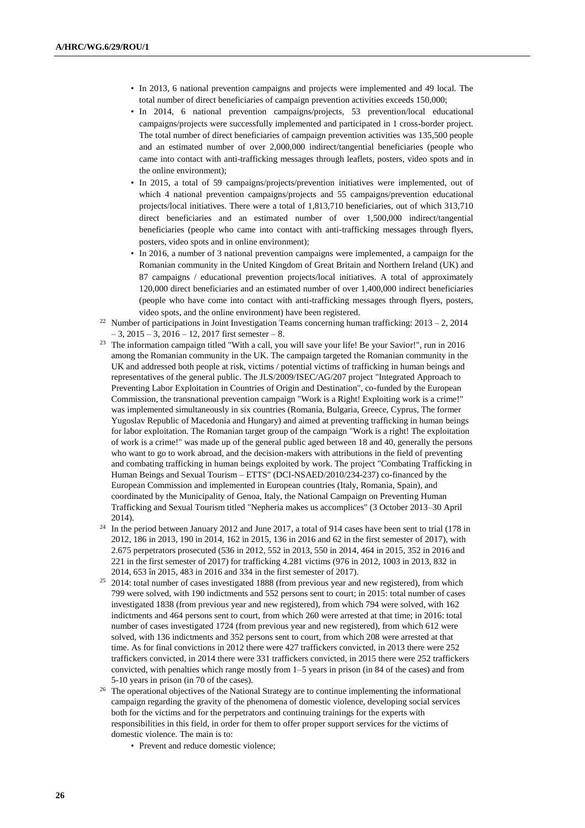- In 2013, 6 national prevention campaigns and projects were implemented and 49 local. The total number of direct beneficiaries of campaign prevention activities exceeds 150,000;
- In 2014, 6 national prevention campaigns/projects, 53 prevention/local educational campaigns/projects were successfully implemented and participated in 1 cross-border project. The total number of direct beneficiaries of campaign prevention activities was 135,500 people and an estimated number of over 2,000,000 indirect/tangential beneficiaries (people who came into contact with anti-trafficking messages through leaflets, posters, video spots and in the online environment);
- In 2015, a total of 59 campaigns/projects/prevention initiatives were implemented, out of which 4 national prevention campaigns/projects and 55 campaigns/prevention educational projects/local initiatives. There were a total of 1,813,710 beneficiaries, out of which 313,710 direct beneficiaries and an estimated number of over 1,500,000 indirect/tangential beneficiaries (people who came into contact with anti-trafficking messages through flyers, posters, video spots and in online environment);
- In 2016, a number of 3 national prevention campaigns were implemented, a campaign for the Romanian community in the United Kingdom of Great Britain and Northern Ireland (UK) and 87 campaigns / educational prevention projects/local initiatives. A total of approximately 120,000 direct beneficiaries and an estimated number of over 1,400,000 indirect beneficiaries (people who have come into contact with anti-trafficking messages through flyers, posters, video spots, and the online environment) have been registered.
- <sup>22</sup> Number of participations in Joint Investigation Teams concerning human trafficking:  $2013 2$ ,  $2014$  $-3$ ,  $2015 - 3$ ,  $2016 - 12$ ,  $2017$  first semester  $-8$ .
- <sup>23</sup> The information campaign titled "With a call, you will save your life! Be your Savior!", run in 2016 among the Romanian community in the UK. The campaign targeted the Romanian community in the UK and addressed both people at risk, victims / potential victims of trafficking in human beings and representatives of the general public. The JLS/2009/ISEC/AG/207 project "Integrated Approach to Preventing Labor Exploitation in Countries of Origin and Destination", co-funded by the European Commission, the transnational prevention campaign "Work is a Right! Exploiting work is a crime!" was implemented simultaneously in six countries (Romania, Bulgaria, Greece, Cyprus, The former Yugoslav Republic of Macedonia and Hungary) and aimed at preventing trafficking in human beings for labor exploitation. The Romanian target group of the campaign "Work is a right! The exploitation of work is a crime!" was made up of the general public aged between 18 and 40, generally the persons who want to go to work abroad, and the decision-makers with attributions in the field of preventing and combating trafficking in human beings exploited by work. The project "Combating Trafficking in Human Beings and Sexual Tourism – ETTS" (DCI-NSAED/2010/234-237) co-financed by the European Commission and implemented in European countries (Italy, Romania, Spain), and coordinated by the Municipality of Genoa, Italy, the National Campaign on Preventing Human Trafficking and Sexual Tourism titled "Nepheria makes us accomplices" (3 October 2013–30 April 2014).
- <sup>24</sup> In the period between January 2012 and June 2017, a total of 914 cases have been sent to trial (178 in 2012, 186 in 2013, 190 in 2014, 162 in 2015, 136 in 2016 and 62 in the first semester of 2017), with 2.675 perpetrators prosecuted (536 in 2012, 552 in 2013, 550 in 2014, 464 in 2015, 352 in 2016 and 221 in the first semester of 2017) for trafficking 4.281 victims (976 in 2012, 1003 in 2013, 832 in 2014, 653 în 2015, 483 in 2016 and 334 in the first semester of 2017).
- <sup>25</sup> 2014: total number of cases investigated 1888 (from previous year and new registered), from which 799 were solved, with 190 indictments and 552 persons sent to court; in 2015: total number of cases investigated 1838 (from previous year and new registered), from which 794 were solved, with 162 indictments and 464 persons sent to court, from which 260 were arrested at that time; in 2016: total number of cases investigated 1724 (from previous year and new registered), from which 612 were solved, with 136 indictments and 352 persons sent to court, from which 208 were arrested at that time. As for final convictions in 2012 there were 427 traffickers convicted, in 2013 there were 252 traffickers convicted, in 2014 there were 331 traffickers convicted, in 2015 there were 252 traffickers convicted, with penalties which range mostly from 1–5 years in prison (in 84 of the cases) and from 5-10 years in prison (in 70 of the cases).
- <sup>26</sup> The operational objectives of the National Strategy are to continue implementing the informational campaign regarding the gravity of the phenomena of domestic violence, developing social services both for the victims and for the perpetrators and continuing trainings for the experts with responsibilities in this field, in order for them to offer proper support services for the victims of domestic violence. The main is to:
	- Prevent and reduce domestic violence: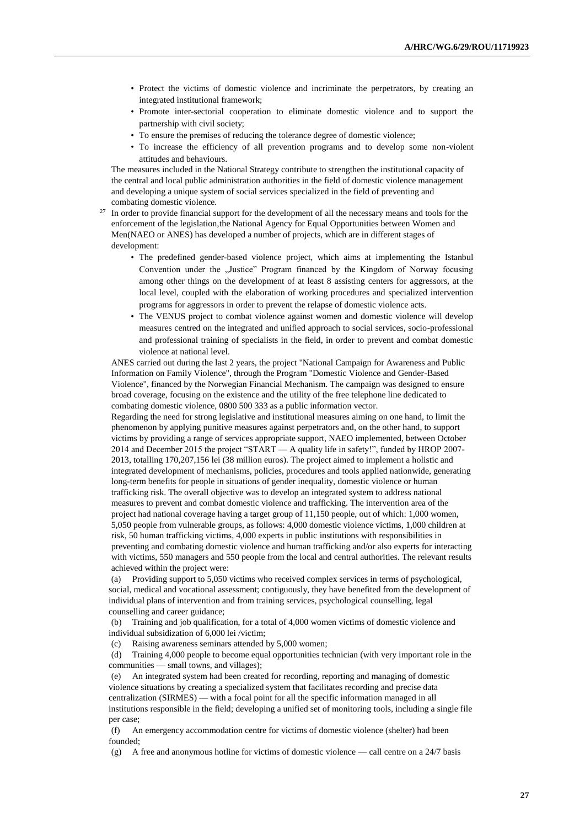- Protect the victims of domestic violence and incriminate the perpetrators, by creating an integrated institutional framework;
- Promote inter-sectorial cooperation to eliminate domestic violence and to support the partnership with civil society;
- To ensure the premises of reducing the tolerance degree of domestic violence;
- To increase the efficiency of all prevention programs and to develop some non-violent attitudes and behaviours.

The measures included in the National Strategy contribute to strengthen the institutional capacity of the central and local public administration authorities in the field of domestic violence management and developing a unique system of social services specialized in the field of preventing and combating domestic violence.

- <sup>27</sup> In order to provide financial support for the development of all the necessary means and tools for the enforcement of the legislation,the National Agency for Equal Opportunities between Women and Men(NAEO or ANES) has developed a number of projects, which are in different stages of development:
	- The predefined gender-based violence project, which aims at implementing the Istanbul Convention under the "Justice" Program financed by the Kingdom of Norway focusing among other things on the development of at least 8 assisting centers for aggressors, at the local level, coupled with the elaboration of working procedures and specialized intervention programs for aggressors in order to prevent the relapse of domestic violence acts.
	- The VENUS project to combat violence against women and domestic violence will develop measures centred on the integrated and unified approach to social services, socio-professional and professional training of specialists in the field, in order to prevent and combat domestic violence at national level.

ANES carried out during the last 2 years, the project "National Campaign for Awareness and Public Information on Family Violence", through the Program "Domestic Violence and Gender-Based Violence", financed by the Norwegian Financial Mechanism. The campaign was designed to ensure broad coverage, focusing on the existence and the utility of the free telephone line dedicated to combating domestic violence, 0800 500 333 as a public information vector.

Regarding the need for strong legislative and institutional measures aiming on one hand, to limit the phenomenon by applying punitive measures against perpetrators and, on the other hand, to support victims by providing a range of services appropriate support, NAEO implemented, between October 2014 and December 2015 the project "START — A quality life in safety!", funded by HROP 2007- 2013, totalling 170,207,156 lei (38 million euros). The project aimed to implement a holistic and integrated development of mechanisms, policies, procedures and tools applied nationwide, generating long-term benefits for people in situations of gender inequality, domestic violence or human trafficking risk. The overall objective was to develop an integrated system to address national measures to prevent and combat domestic violence and trafficking. The intervention area of the project had national coverage having a target group of 11,150 people, out of which: 1,000 women, 5,050 people from vulnerable groups, as follows: 4,000 domestic violence victims, 1,000 children at risk, 50 human trafficking victims, 4,000 experts in public institutions with responsibilities in preventing and combating domestic violence and human trafficking and/or also experts for interacting with victims, 550 managers and 550 people from the local and central authorities. The relevant results achieved within the project were:

(a) Providing support to 5,050 victims who received complex services in terms of psychological, social, medical and vocational assessment; contiguously, they have benefited from the development of individual plans of intervention and from training services, psychological counselling, legal counselling and career guidance;

(b) Training and job qualification, for a total of 4,000 women victims of domestic violence and individual subsidization of 6,000 lei /victim;

(c) Raising awareness seminars attended by 5,000 women;

(d) Training 4,000 people to become equal opportunities technician (with very important role in the communities — small towns, and villages);

(e) An integrated system had been created for recording, reporting and managing of domestic violence situations by creating a specialized system that facilitates recording and precise data centralization (SIRMES) — with a focal point for all the specific information managed in all institutions responsible in the field; developing a unified set of monitoring tools, including a single file per case;

(f) An emergency accommodation centre for victims of domestic violence (shelter) had been founded;

(g) A free and anonymous hotline for victims of domestic violence — call centre on a 24/7 basis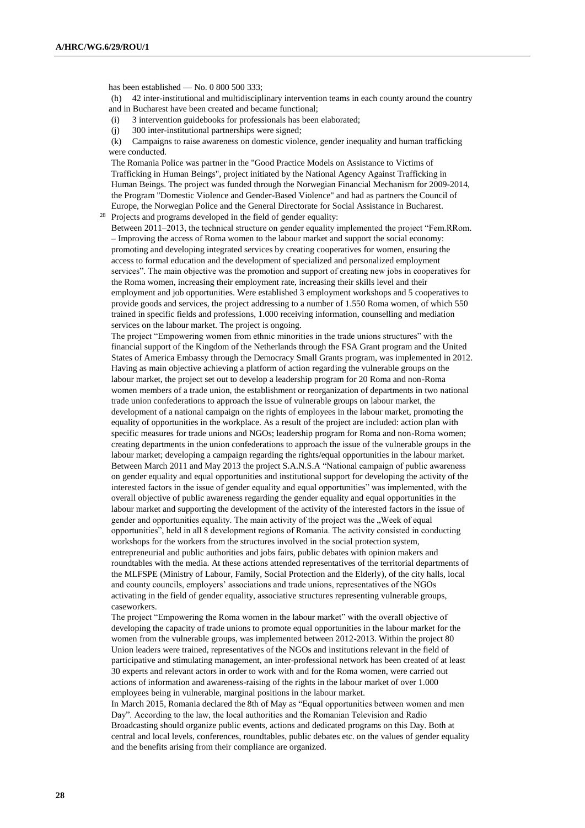has been established — No. 0 800 500 333; (h) 42 inter-institutional and multidisciplinary intervention teams in each county around the country and in Bucharest have been created and became functional;

- (i) 3 intervention guidebooks for professionals has been elaborated;
- (j) 300 inter-institutional partnerships were signed;

(k) Campaigns to raise awareness on domestic violence, gender inequality and human trafficking were conducted.

The Romania Police was partner in the "Good Practice Models on Assistance to Victims of Trafficking in Human Beings", project initiated by the National Agency Against Trafficking in Human Beings. The project was funded through the Norwegian Financial Mechanism for 2009-2014, the Program "Domestic Violence and Gender-Based Violence" and had as partners the Council of Europe, the Norwegian Police and the General Directorate for Social Assistance in Bucharest.

<sup>28</sup> Projects and programs developed in the field of gender equality:

Between 2011–2013, the technical structure on gender equality implemented the project "Fem.RRom. – Improving the access of Roma women to the labour market and support the social economy: promoting and developing integrated services by creating cooperatives for women, ensuring the access to formal education and the development of specialized and personalized employment services". The main objective was the promotion and support of creating new jobs in cooperatives for the Roma women, increasing their employment rate, increasing their skills level and their employment and job opportunities. Were established 3 employment workshops and 5 cooperatives to provide goods and services, the project addressing to a number of 1.550 Roma women, of which 550 trained in specific fields and professions, 1.000 receiving information, counselling and mediation services on the labour market. The project is ongoing.

The project "Empowering women from ethnic minorities in the trade unions structures" with the financial support of the Kingdom of the Netherlands through the FSA Grant program and the United States of America Embassy through the Democracy Small Grants program, was implemented in 2012. Having as main objective achieving a platform of action regarding the vulnerable groups on the labour market, the project set out to develop a leadership program for 20 Roma and non-Roma women members of a trade union, the establishment or reorganization of departments in two national trade union confederations to approach the issue of vulnerable groups on labour market, the development of a national campaign on the rights of employees in the labour market, promoting the equality of opportunities in the workplace. As a result of the project are included: action plan with specific measures for trade unions and NGOs; leadership program for Roma and non-Roma women; creating departments in the union confederations to approach the issue of the vulnerable groups in the labour market; developing a campaign regarding the rights/equal opportunities in the labour market. Between March 2011 and May 2013 the project S.A.N.S.A "National campaign of public awareness on gender equality and equal opportunities and institutional support for developing the activity of the interested factors in the issue of gender equality and equal opportunities" was implemented, with the overall objective of public awareness regarding the gender equality and equal opportunities in the labour market and supporting the development of the activity of the interested factors in the issue of gender and opportunities equality. The main activity of the project was the "Week of equal opportunities", held in all 8 development regions of Romania. The activity consisted in conducting workshops for the workers from the structures involved in the social protection system, entrepreneurial and public authorities and jobs fairs, public debates with opinion makers and roundtables with the media. At these actions attended representatives of the territorial departments of the MLFSPE (Ministry of Labour, Family, Social Protection and the Elderly), of the city halls, local and county councils, employers' associations and trade unions, representatives of the NGOs activating in the field of gender equality, associative structures representing vulnerable groups, caseworkers.

The project "Empowering the Roma women in the labour market" with the overall objective of developing the capacity of trade unions to promote equal opportunities in the labour market for the women from the vulnerable groups, was implemented between 2012-2013. Within the project 80 Union leaders were trained, representatives of the NGOs and institutions relevant in the field of participative and stimulating management, an inter-professional network has been created of at least 30 experts and relevant actors in order to work with and for the Roma women, were carried out actions of information and awareness-raising of the rights in the labour market of over 1.000 employees being in vulnerable, marginal positions in the labour market.

In March 2015, Romania declared the 8th of May as "Equal opportunities between women and men Day". According to the law, the local authorities and the Romanian Television and Radio Broadcasting should organize public events, actions and dedicated programs on this Day. Both at central and local levels, conferences, roundtables, public debates etc. on the values of gender equality and the benefits arising from their compliance are organized.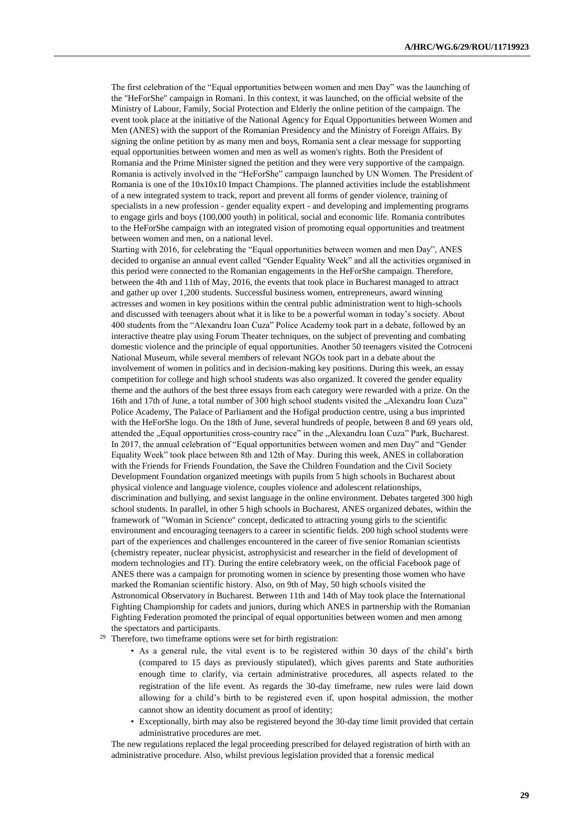The first celebration of the "Equal opportunities between women and men Day" was the launching of the "HeForShe" campaign in Romani. In this context, it was launched, on the official website of the Ministry of Labour, Family, Social Protection and Elderly the online petition of the campaign. The event took place at the initiative of the National Agency for Equal Opportunities between Women and Men (ANES) with the support of the Romanian Presidency and the Ministry of Foreign Affairs. By signing the online petition by as many men and boys, Romania sent a clear message for supporting equal opportunities between women and men as well as women's rights. Both the President of Romania and the Prime Minister signed the petition and they were very supportive of the campaign. Romania is actively involved in the "HeForShe" campaign launched by UN Women. The President of Romania is one of the 10x10x10 Impact Champions. The planned activities include the establishment of a new integrated system to track, report and prevent all forms of gender violence, training of specialists in a new profession - gender equality expert - and developing and implementing programs to engage girls and boys (100,000 youth) in political, social and economic life. Romania contributes to the HeForShe campaign with an integrated vision of promoting equal opportunities and treatment between women and men, on a national level.

Starting with 2016, for celebrating the "Equal opportunities between women and men Day", ANES decided to organise an annual event called "Gender Equality Week" and all the activities organised in this period were connected to the Romanian engagements in the HeForShe campaign. Therefore, between the 4th and 11th of May, 2016, the events that took place in Bucharest managed to attract and gather up over 1,200 students. Successful business women, entrepreneurs, award winning actresses and women in key positions within the central public administration went to high-schools and discussed with teenagers about what it is like to be a powerful woman in today's society. About 400 students from the "Alexandru Ioan Cuza" Police Academy took part in a debate, followed by an interactive theatre play using Forum Theater techniques, on the subject of preventing and combating domestic violence and the principle of equal opportunities. Another 50 teenagers visited the Cotroceni National Museum, while several members of relevant NGOs took part in a debate about the involvement of women in politics and in decision-making key positions. During this week, an essay competition for college and high school students was also organized. It covered the gender equality theme and the authors of the best three essays from each category were rewarded with a prize. On the 16th and 17th of June, a total number of 300 high school students visited the "Alexandru Ioan Cuza" Police Academy, The Palace of Parliament and the Hofigal production centre, using a bus imprinted with the HeForShe logo. On the 18th of June, several hundreds of people, between 8 and 69 years old, attended the "Equal opportunities cross-country race" in the "Alexandru Ioan Cuza" Park, Bucharest. In 2017, the annual celebration of "Equal opportunities between women and men Day" and "Gender Equality Week" took place between 8th and 12th of May. During this week, ANES in collaboration with the Friends for Friends Foundation, the Save the Children Foundation and the Civil Society Development Foundation organized meetings with pupils from 5 high schools in Bucharest about physical violence and language violence, couples violence and adolescent relationships, discrimination and bullying, and sexist language in the online environment. Debates targeted 300 high school students. In parallel, in other 5 high schools in Bucharest, ANES organized debates, within the framework of "Woman in Science" concept, dedicated to attracting young girls to the scientific environment and encouraging teenagers to a career in scientific fields. 200 high school students were part of the experiences and challenges encountered in the career of five senior Romanian scientists (chemistry repeater, nuclear physicist, astrophysicist and researcher in the field of development of modern technologies and IT). During the entire celebratory week, on the official Facebook page of ANES there was a campaign for promoting women in science by presenting those women who have marked the Romanian scientific history. Also, on 9th of May, 50 high schools visited the Astronomical Observatory in Bucharest. Between 11th and 14th of May took place the International Fighting Championship for cadets and juniors, during which ANES in partnership with the Romanian Fighting Federation promoted the principal of equal opportunities between women and men among the spectators and participants.

- <sup>29</sup> Therefore, two timeframe options were set for birth registration:
	- As a general rule, the vital event is to be registered within 30 days of the child's birth (compared to 15 days as previously stipulated), which gives parents and State authorities enough time to clarify, via certain administrative procedures, all aspects related to the registration of the life event. As regards the 30-day timeframe, new rules were laid down allowing for a child's birth to be registered even if, upon hospital admission, the mother cannot show an identity document as proof of identity;
	- Exceptionally, birth may also be registered beyond the 30-day time limit provided that certain administrative procedures are met.

The new regulations replaced the legal proceeding prescribed for delayed registration of birth with an administrative procedure. Also, whilst previous legislation provided that a forensic medical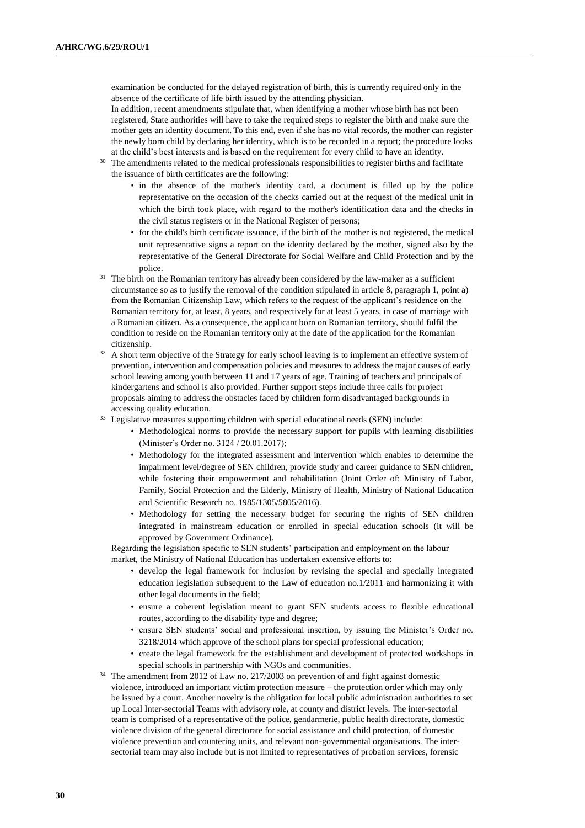examination be conducted for the delayed registration of birth, this is currently required only in the absence of the certificate of life birth issued by the attending physician.

In addition, recent amendments stipulate that, when identifying a mother whose birth has not been registered, State authorities will have to take the required steps to register the birth and make sure the mother gets an identity document. To this end, even if she has no vital records, the mother can register the newly born child by declaring her identity, which is to be recorded in a report; the procedure looks at the child's best interests and is based on the requirement for every child to have an identity.

- <sup>30</sup> The amendments related to the medical professionals responsibilities to register births and facilitate the issuance of birth certificates are the following:
	- in the absence of the mother's identity card, a document is filled up by the police representative on the occasion of the checks carried out at the request of the medical unit in which the birth took place, with regard to the mother's identification data and the checks in the civil status registers or in the National Register of persons;
	- for the child's birth certificate issuance, if the birth of the mother is not registered, the medical unit representative signs a report on the identity declared by the mother, signed also by the representative of the General Directorate for Social Welfare and Child Protection and by the police.
- <sup>31</sup> The birth on the Romanian territory has already been considered by the law-maker as a sufficient circumstance so as to justify the removal of the condition stipulated in article 8, paragraph 1, point a) from the Romanian Citizenship Law, which refers to the request of the applicant's residence on the Romanian territory for, at least, 8 years, and respectively for at least 5 years, in case of marriage with a Romanian citizen. As a consequence, the applicant born on Romanian territory, should fulfil the condition to reside on the Romanian territory only at the date of the application for the Romanian citizenship.
- <sup>32</sup> A short term objective of the Strategy for early school leaving is to implement an effective system of prevention, intervention and compensation policies and measures to address the major causes of early school leaving among youth between 11 and 17 years of age. Training of teachers and principals of kindergartens and school is also provided. Further support steps include three calls for project proposals aiming to address the obstacles faced by children form disadvantaged backgrounds in accessing quality education.
- <sup>33</sup> Legislative measures supporting children with special educational needs (SEN) include:
	- Methodological norms to provide the necessary support for pupils with learning disabilities (Minister's Order no. 3124 / 20.01.2017);
	- Methodology for the integrated assessment and intervention which enables to determine the impairment level/degree of SEN children, provide study and career guidance to SEN children, while fostering their empowerment and rehabilitation (Joint Order of: Ministry of Labor, Family, Social Protection and the Elderly, Ministry of Health, Ministry of National Education and Scientific Research no. 1985/1305/5805/2016).
	- Methodology for setting the necessary budget for securing the rights of SEN children integrated in mainstream education or enrolled in special education schools (it will be approved by Government Ordinance).

Regarding the legislation specific to SEN students' participation and employment on the labour

market, the Ministry of National Education has undertaken extensive efforts to:

- develop the legal framework for inclusion by revising the special and specially integrated education legislation subsequent to the Law of education no.1/2011 and harmonizing it with other legal documents in the field;
- ensure a coherent legislation meant to grant SEN students access to flexible educational routes, according to the disability type and degree;
- ensure SEN students' social and professional insertion, by issuing the Minister's Order no. 3218/2014 which approve of the school plans for special professional education;
- create the legal framework for the establishment and development of protected workshops in special schools in partnership with NGOs and communities.
- <sup>34</sup> The amendment from 2012 of Law no. 217/2003 on prevention of and fight against domestic violence, introduced an important victim protection measure – the protection order which may only be issued by a court. Another novelty is the obligation for local public administration authorities to set up Local Inter-sectorial Teams with advisory role, at county and district levels. The inter-sectorial team is comprised of a representative of the police, gendarmerie, public health directorate, domestic violence division of the general directorate for social assistance and child protection, of domestic violence prevention and countering units, and relevant non-governmental organisations. The intersectorial team may also include but is not limited to representatives of probation services, forensic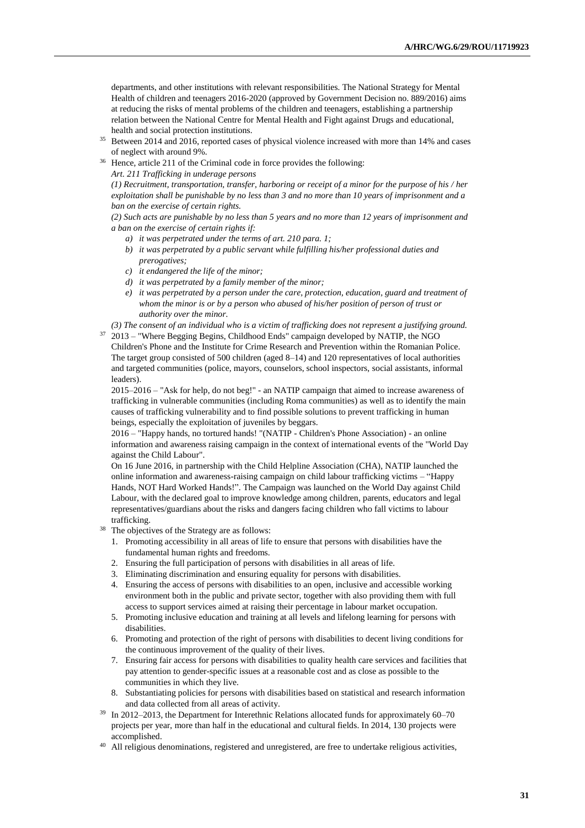departments, and other institutions with relevant responsibilities. The National Strategy for Mental Health of children and teenagers 2016-2020 (approved by Government Decision no. 889/2016) aims at reducing the risks of mental problems of the children and teenagers, establishing a partnership relation between the National Centre for Mental Health and Fight against Drugs and educational, health and social protection institutions.

- <sup>35</sup> Between 2014 and 2016, reported cases of physical violence increased with more than 14% and cases of neglect with around 9%.
- <sup>36</sup> Hence, article 211 of the Criminal code in force provides the following:

*Art. 211 Trafficking in underage persons*

*(1) Recruitment, transportation, transfer, harboring or receipt of a minor for the purpose of his / her exploitation shall be punishable by no less than 3 and no more than 10 years of imprisonment and a ban on the exercise of certain rights.*

*(2) Such acts are punishable by no less than 5 years and no more than 12 years of imprisonment and a ban on the exercise of certain rights if:*

- *a) it was perpetrated under the terms of art. 210 para. 1;*
- *b) it was perpetrated by a public servant while fulfilling his/her professional duties and prerogatives;*
- *c) it endangered the life of the minor;*
- *d) it was perpetrated by a family member of the minor;*
- *e) it was perpetrated by a person under the care, protection, education, guard and treatment of whom the minor is or by a person who abused of his/her position of person of trust or authority over the minor.*
- *(3) The consent of an individual who is a victim of trafficking does not represent a justifying ground.*

<sup>37</sup> 2013 – "Where Begging Begins, Childhood Ends" campaign developed by NATIP, the NGO Children's Phone and the Institute for Crime Research and Prevention within the Romanian Police. The target group consisted of 500 children (aged 8–14) and 120 representatives of local authorities and targeted communities (police, mayors, counselors, school inspectors, social assistants, informal leaders).

2015–2016 – "Ask for help, do not beg!" - an NATIP campaign that aimed to increase awareness of trafficking in vulnerable communities (including Roma communities) as well as to identify the main causes of trafficking vulnerability and to find possible solutions to prevent trafficking in human beings, especially the exploitation of juveniles by beggars.

2016 – "Happy hands, no tortured hands! "(NATIP - Children's Phone Association) - an online information and awareness raising campaign in the context of international events of the "World Day against the Child Labour".

On 16 June 2016, in partnership with the Child Helpline Association (CHA), NATIP launched the online information and awareness-raising campaign on child labour trafficking victims – "Happy Hands, NOT Hard Worked Hands!". The Campaign was launched on the World Day against Child Labour, with the declared goal to improve knowledge among children, parents, educators and legal representatives/guardians about the risks and dangers facing children who fall victims to labour trafficking.

- The objectives of the Strategy are as follows:
	- 1. Promoting accessibility in all areas of life to ensure that persons with disabilities have the fundamental human rights and freedoms.
	- 2. Ensuring the full participation of persons with disabilities in all areas of life.
	- 3. Eliminating discrimination and ensuring equality for persons with disabilities.
	- 4. Ensuring the access of persons with disabilities to an open, inclusive and accessible working environment both in the public and private sector, together with also providing them with full access to support services aimed at raising their percentage in labour market occupation.
	- 5. Promoting inclusive education and training at all levels and lifelong learning for persons with disabilities.
	- 6. Promoting and protection of the right of persons with disabilities to decent living conditions for the continuous improvement of the quality of their lives.
	- 7. Ensuring fair access for persons with disabilities to quality health care services and facilities that pay attention to gender-specific issues at a reasonable cost and as close as possible to the communities in which they live.
	- 8. Substantiating policies for persons with disabilities based on statistical and research information and data collected from all areas of activity.
- <sup>39</sup> In 2012–2013, the Department for Interethnic Relations allocated funds for approximately 60–70 projects per year, more than half in the educational and cultural fields. In 2014, 130 projects were accomplished.
- <sup>40</sup> All religious denominations, registered and unregistered, are free to undertake religious activities,